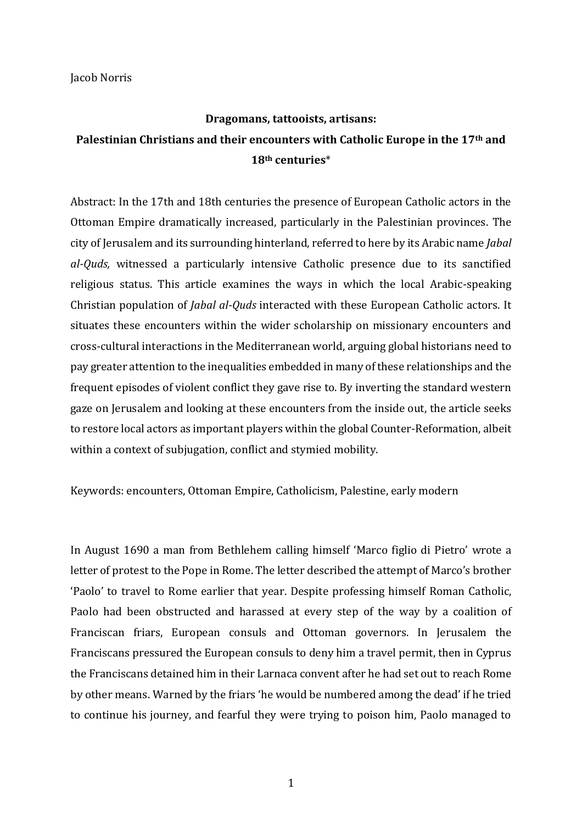Jacob Norris

### **Dragomans, tattooists, artisans:**

# **Palestinian Christians and their encounters with Catholic Europe in the 17th and 18th centuries**\*

Abstract: In the 17th and 18th centuries the presence of European Catholic actors in the Ottoman Empire dramatically increased, particularly in the Palestinian provinces. The city of Jerusalem and its surrounding hinterland, referred to here by its Arabic name *Jabal al-Quds,* witnessed a particularly intensive Catholic presence due to its sanctified religious status. This article examines the ways in which the local Arabic-speaking Christian population of *Jabal al-Quds* interacted with these European Catholic actors. It situates these encounters within the wider scholarship on missionary encounters and cross-cultural interactions in the Mediterranean world, arguing global historians need to pay greater attention to the inequalities embedded in many of these relationships and the frequent episodes of violent conflict they gave rise to. By inverting the standard western gaze on Jerusalem and looking at these encounters from the inside out, the article seeks to restore local actors as important players within the global Counter-Reformation, albeit within a context of subjugation, conflict and stymied mobility.

Keywords: encounters, Ottoman Empire, Catholicism, Palestine, early modern

In August 1690 a man from Bethlehem calling himself 'Marco figlio di Pietro' wrote a letter of protest to the Pope in Rome. The letter described the attempt of Marco's brother 'Paolo' to travel to Rome earlier that year. Despite professing himself Roman Catholic, Paolo had been obstructed and harassed at every step of the way by a coalition of Franciscan friars, European consuls and Ottoman governors. In Jerusalem the Franciscans pressured the European consuls to deny him a travel permit, then in Cyprus the Franciscans detained him in their Larnaca convent after he had set out to reach Rome by other means. Warned by the friars 'he would be numbered among the dead' if he tried to continue his journey, and fearful they were trying to poison him, Paolo managed to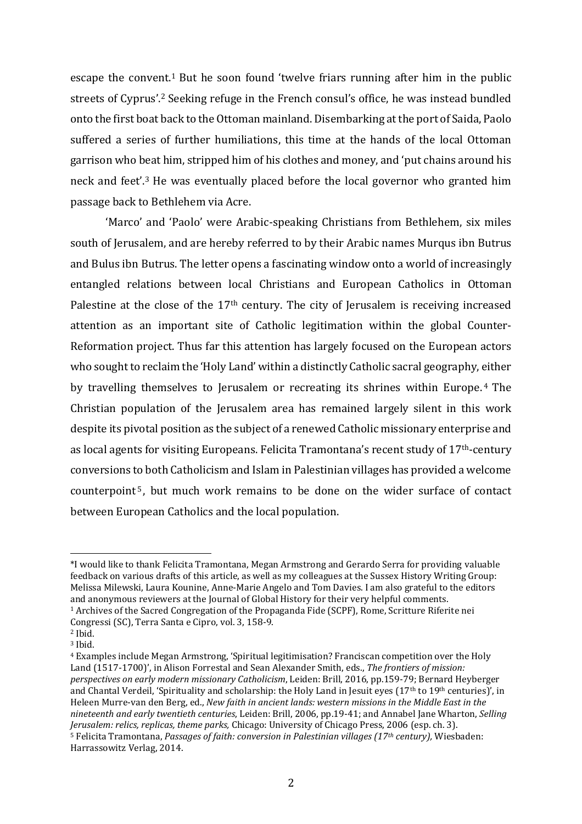escape the convent. <sup>1</sup> But he soon found 'twelve friars running after him in the public streets of Cyprus'. <sup>2</sup> Seeking refuge in the French consul's office, he was instead bundled onto the first boat back to the Ottoman mainland. Disembarking at the port of Saida, Paolo suffered a series of further humiliations, this time at the hands of the local Ottoman garrison who beat him, stripped him of his clothes and money, and 'put chains around his neck and feet'. <sup>3</sup> He was eventually placed before the local governor who granted him passage back to Bethlehem via Acre.

'Marco' and 'Paolo' were Arabic-speaking Christians from Bethlehem, six miles south of Jerusalem, and are hereby referred to by their Arabic names Murqus ibn Butrus and Bulus ibn Butrus. The letter opens a fascinating window onto a world of increasingly entangled relations between local Christians and European Catholics in Ottoman Palestine at the close of the 17<sup>th</sup> century. The city of Jerusalem is receiving increased attention as an important site of Catholic legitimation within the global Counter-Reformation project. Thus far this attention has largely focused on the European actors who sought to reclaim the 'Holy Land' within a distinctly Catholic sacral geography, either by travelling themselves to Jerusalem or recreating its shrines within Europe. <sup>4</sup> The Christian population of the Jerusalem area has remained largely silent in this work despite its pivotal position as the subject of a renewed Catholic missionary enterprise and as local agents for visiting Europeans. Felicita Tramontana's recent study of 17th-century conversions to both Catholicism and Islam in Palestinian villages has provided a welcome counterpoint<sup>5</sup>, but much work remains to be done on the wider surface of contact between European Catholics and the local population.

 $\overline{a}$ \*I would like to thank Felicita Tramontana, Megan Armstrong and Gerardo Serra for providing valuable feedback on various drafts of this article, as well as my colleagues at the Sussex History Writing Group: Melissa Milewski, Laura Kounine, Anne-Marie Angelo and Tom Davies. I am also grateful to the editors and anonymous reviewers at the Journal of Global History for their very helpful comments. <sup>1</sup> Archives of the Sacred Congregation of the Propaganda Fide (SCPF), Rome, Scritture Riferite nei

Congressi (SC), Terra Santa e Cipro, vol. 3, 158-9.

<sup>2</sup> Ibid.

<sup>3</sup> Ibid.

<sup>4</sup> Examples include Megan Armstrong, 'Spiritual legitimisation? Franciscan competition over the Holy Land (1517-1700)', in Alison Forrestal and Sean Alexander Smith, eds., *The frontiers of mission: perspectives on early modern missionary Catholicism*, Leiden: Brill, 2016, pp.159-79; Bernard Heyberger and Chantal Verdeil, 'Spirituality and scholarship: the Holy Land in Jesuit eyes  $(17<sup>th</sup>$  to  $19<sup>th</sup>$  centuries)', in Heleen Murre-van den Berg, ed., *New faith in ancient lands: western missions in the Middle East in the nineteenth and early twentieth centuries*, Leiden: Brill, 2006, pp.19-41; and Annabel Jane Wharton, *Selling Jerusalem: relics, replicas, theme parks,* Chicago: University of Chicago Press, 2006 (esp. ch. 3). <sup>5</sup> Felicita Tramontana, *Passages of faith: conversion in Palestinian villages (17th century),* Wiesbaden: Harrassowitz Verlag, 2014.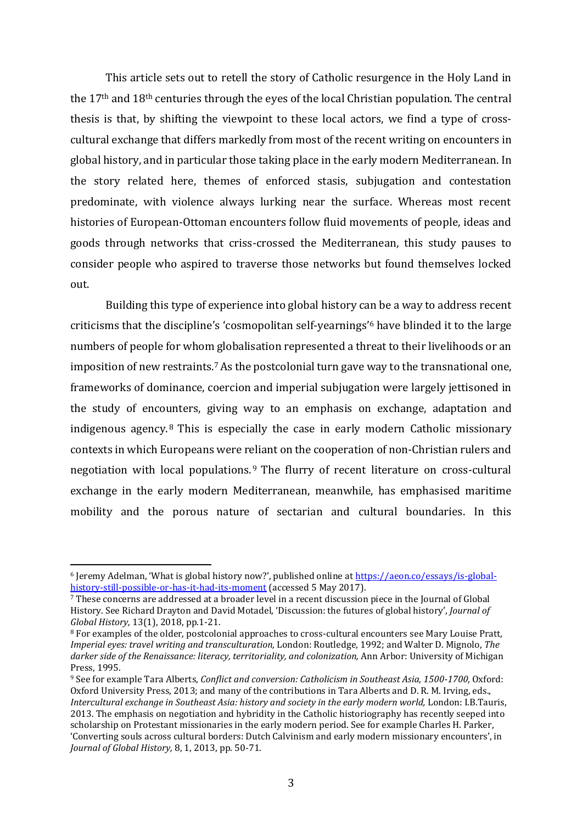This article sets out to retell the story of Catholic resurgence in the Holy Land in the 17th and 18th centuries through the eyes of the local Christian population. The central thesis is that, by shifting the viewpoint to these local actors, we find a type of crosscultural exchange that differs markedly from most of the recent writing on encounters in global history, and in particular those taking place in the early modern Mediterranean. In the story related here, themes of enforced stasis, subjugation and contestation predominate, with violence always lurking near the surface. Whereas most recent histories of European-Ottoman encounters follow fluid movements of people, ideas and goods through networks that criss-crossed the Mediterranean, this study pauses to consider people who aspired to traverse those networks but found themselves locked out.

Building this type of experience into global history can be a way to address recent criticisms that the discipline's 'cosmopolitan self-yearnings'<sup>6</sup> have blinded it to the large numbers of people for whom globalisation represented a threat to their livelihoods or an imposition of new restraints.<sup>7</sup> As the postcolonial turn gave way to the transnational one, frameworks of dominance, coercion and imperial subjugation were largely jettisoned in the study of encounters, giving way to an emphasis on exchange, adaptation and indigenous agency. <sup>8</sup> This is especially the case in early modern Catholic missionary contexts in which Europeans were reliant on the cooperation of non-Christian rulers and negotiation with local populations. <sup>9</sup> The flurry of recent literature on cross-cultural exchange in the early modern Mediterranean, meanwhile, has emphasised maritime mobility and the porous nature of sectarian and cultural boundaries. In this

 $\overline{a}$ <sup>6</sup> Jeremy Adelman, 'What is global history now?', published online at [https://aeon.co/essays/is-global](https://aeon.co/essays/is-global-history-still-possible-or-has-it-had-its-moment)[history-still-possible-or-has-it-had-its-moment](https://aeon.co/essays/is-global-history-still-possible-or-has-it-had-its-moment) (accessed 5 May 2017).

<sup>7</sup> These concerns are addressed at a broader level in a recent discussion piece in the Journal of Global History. See Richard Drayton and David Motadel, 'Discussion: the futures of global history', *Journal of Global History,* 13(1), 2018, pp.1-21.

<sup>8</sup> For examples of the older, postcolonial approaches to cross-cultural encounters see Mary Louise Pratt, *Imperial eyes: travel writing and transculturation,* London: Routledge, 1992; and Walter D. Mignolo, *The darker side of the Renaissance: literacy, territoriality, and colonization,* Ann Arbor: University of Michigan Press, 1995.

<sup>&</sup>lt;sup>9</sup> See for example Tara Alberts, *Conflict and conversion: Catholicism in Southeast Asia, 1500-1700, Oxford:* Oxford University Press, 2013; and many of the contributions in Tara Alberts and D. R. M. Irving, eds., *Intercultural exchange in Southeast Asia: history and society in the early modern world, London: I.B.Tauris,* 2013. The emphasis on negotiation and hybridity in the Catholic historiography has recently seeped into scholarship on Protestant missionaries in the early modern period. See for example Charles H. Parker, 'Converting souls across cultural borders: Dutch Calvinism and early modern missionary encounters', in *Journal of Global History,* 8, 1, 2013, pp. 50-71.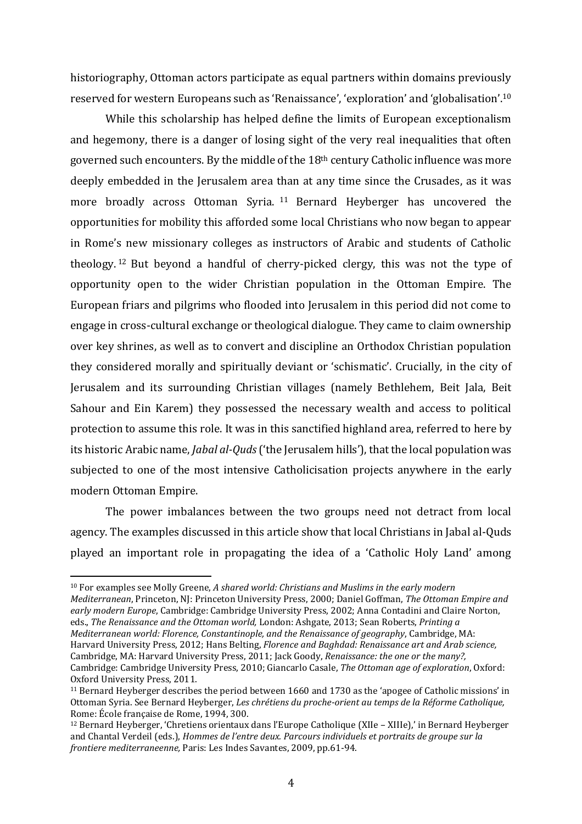historiography, Ottoman actors participate as equal partners within domains previously reserved for western Europeans such as 'Renaissance', 'exploration' and 'globalisation'.<sup>10</sup>

While this scholarship has helped define the limits of European exceptionalism and hegemony, there is a danger of losing sight of the very real inequalities that often governed such encounters. By the middle of the 18th century Catholic influence was more deeply embedded in the Jerusalem area than at any time since the Crusades, as it was more broadly across Ottoman Syria. <sup>11</sup> Bernard Heyberger has uncovered the opportunities for mobility this afforded some local Christians who now began to appear in Rome's new missionary colleges as instructors of Arabic and students of Catholic theology. <sup>12</sup> But beyond a handful of cherry-picked clergy, this was not the type of opportunity open to the wider Christian population in the Ottoman Empire. The European friars and pilgrims who flooded into Jerusalem in this period did not come to engage in cross-cultural exchange or theological dialogue. They came to claim ownership over key shrines, as well as to convert and discipline an Orthodox Christian population they considered morally and spiritually deviant or 'schismatic'. Crucially, in the city of Jerusalem and its surrounding Christian villages (namely Bethlehem, Beit Jala, Beit Sahour and Ein Karem) they possessed the necessary wealth and access to political protection to assume this role. It was in this sanctified highland area, referred to here by its historic Arabic name, *Jabal al-Quds*('the Jerusalem hills'), that the local population was subjected to one of the most intensive Catholicisation projects anywhere in the early modern Ottoman Empire.

The power imbalances between the two groups need not detract from local agency. The examples discussed in this article show that local Christians in Jabal al-Quds played an important role in propagating the idea of a 'Catholic Holy Land' among

<sup>10</sup> For examples see Molly Greene, *A shared world: Christians and Muslims in the early modern Mediterranean*, Princeton, NJ: Princeton University Press, 2000; Daniel Goffman, *The Ottoman Empire and early modern Europe*, Cambridge: Cambridge University Press, 2002; Anna Contadini and Claire Norton, eds., *The Renaissance and the Ottoman world,* London: Ashgate, 2013; Sean Roberts, *Printing a Mediterranean world: Florence, Constantinople, and the Renaissance of geography*, Cambridge, MA: Harvard University Press, 2012; Hans Belting, *Florence and Baghdad: Renaissance art and Arab science,* 

Cambridge, MA: Harvard University Press, 2011; Jack Goody, *Renaissance: the one or the many?,*  Cambridge: Cambridge University Press, 2010; Giancarlo Casale, *The Ottoman age of exploration*, Oxford: Oxford University Press, 2011.

<sup>11</sup> Bernard Heyberger describes the period between 1660 and 1730 as the 'apogee of Catholic missions' in Ottoman Syria. See Bernard Heyberger, *Les chrétiens du proche-orient au temps de la Réforme Catholique,*  Rome: École française de Rome, 1994, 300.

<sup>12</sup> Bernard Heyberger, 'Chretiens orientaux dans l'Europe Catholique (XIIe – XIIIe),' in Bernard Heyberger and Chantal Verdeil (eds.), *Hommes de l'entre deux. Parcours individuels et portraits de groupe sur la frontiere mediterraneenne,* Paris: Les Indes Savantes, 2009, pp.61-94.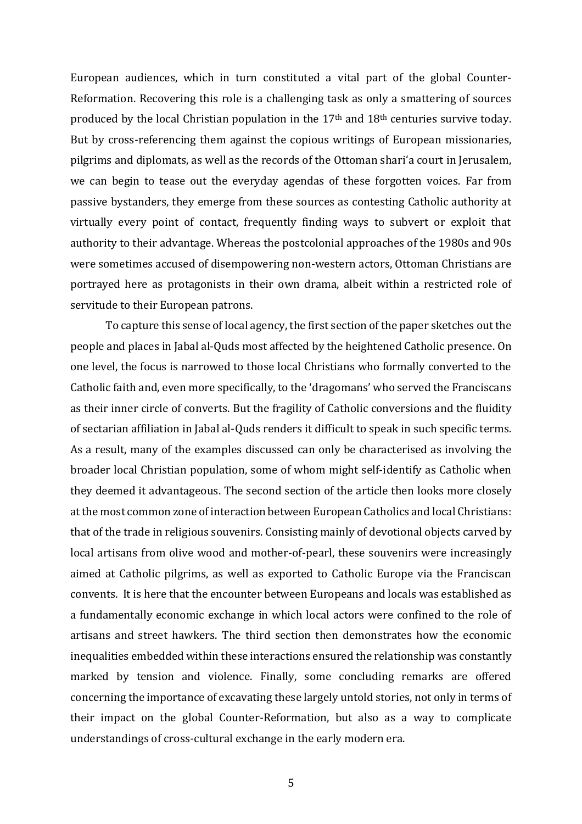European audiences, which in turn constituted a vital part of the global Counter-Reformation. Recovering this role is a challenging task as only a smattering of sources produced by the local Christian population in the 17<sup>th</sup> and 18<sup>th</sup> centuries survive today. But by cross-referencing them against the copious writings of European missionaries, pilgrims and diplomats, as well as the records of the Ottoman shari'a court in Jerusalem, we can begin to tease out the everyday agendas of these forgotten voices. Far from passive bystanders, they emerge from these sources as contesting Catholic authority at virtually every point of contact, frequently finding ways to subvert or exploit that authority to their advantage. Whereas the postcolonial approaches of the 1980s and 90s were sometimes accused of disempowering non-western actors, Ottoman Christians are portrayed here as protagonists in their own drama, albeit within a restricted role of servitude to their European patrons.

To capture this sense of local agency, the first section of the paper sketches out the people and places in Jabal al-Quds most affected by the heightened Catholic presence. On one level, the focus is narrowed to those local Christians who formally converted to the Catholic faith and, even more specifically, to the 'dragomans' who served the Franciscans as their inner circle of converts. But the fragility of Catholic conversions and the fluidity of sectarian affiliation in Jabal al-Quds renders it difficult to speak in such specific terms. As a result, many of the examples discussed can only be characterised as involving the broader local Christian population, some of whom might self-identify as Catholic when they deemed it advantageous. The second section of the article then looks more closely at the most common zone of interaction between European Catholics and local Christians: that of the trade in religious souvenirs. Consisting mainly of devotional objects carved by local artisans from olive wood and mother-of-pearl, these souvenirs were increasingly aimed at Catholic pilgrims, as well as exported to Catholic Europe via the Franciscan convents. It is here that the encounter between Europeans and locals was established as a fundamentally economic exchange in which local actors were confined to the role of artisans and street hawkers. The third section then demonstrates how the economic inequalities embedded within these interactions ensured the relationship was constantly marked by tension and violence. Finally, some concluding remarks are offered concerning the importance of excavating these largely untold stories, not only in terms of their impact on the global Counter-Reformation, but also as a way to complicate understandings of cross-cultural exchange in the early modern era.

5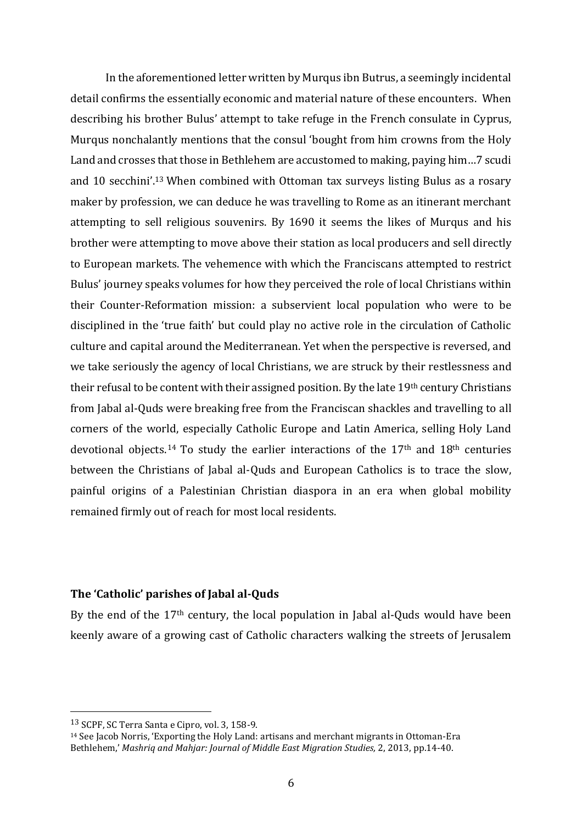In the aforementioned letter written by Murqus ibn Butrus, a seemingly incidental detail confirms the essentially economic and material nature of these encounters. When describing his brother Bulus' attempt to take refuge in the French consulate in Cyprus, Murqus nonchalantly mentions that the consul 'bought from him crowns from the Holy Land and crosses that those in Bethlehem are accustomed to making, paying him…7 scudi and 10 secchini'.<sup>13</sup> When combined with Ottoman tax surveys listing Bulus as a rosary maker by profession, we can deduce he was travelling to Rome as an itinerant merchant attempting to sell religious souvenirs. By 1690 it seems the likes of Murqus and his brother were attempting to move above their station as local producers and sell directly to European markets. The vehemence with which the Franciscans attempted to restrict Bulus' journey speaks volumes for how they perceived the role of local Christians within their Counter-Reformation mission: a subservient local population who were to be disciplined in the 'true faith' but could play no active role in the circulation of Catholic culture and capital around the Mediterranean. Yet when the perspective is reversed, and we take seriously the agency of local Christians, we are struck by their restlessness and their refusal to be content with their assigned position. By the late 19<sup>th</sup> century Christians from Jabal al-Quds were breaking free from the Franciscan shackles and travelling to all corners of the world, especially Catholic Europe and Latin America, selling Holy Land devotional objects.<sup>14</sup> To study the earlier interactions of the 17<sup>th</sup> and 18<sup>th</sup> centuries between the Christians of Jabal al-Quds and European Catholics is to trace the slow, painful origins of a Palestinian Christian diaspora in an era when global mobility remained firmly out of reach for most local residents.

## **The 'Catholic' parishes of Jabal al-Quds**

By the end of the 17th century, the local population in Jabal al-Quds would have been keenly aware of a growing cast of Catholic characters walking the streets of Jerusalem

<sup>13</sup> SCPF, SC Terra Santa e Cipro, vol. 3, 158-9.

<sup>14</sup> See Jacob Norris, 'Exporting the Holy Land: artisans and merchant migrants in Ottoman-Era Bethlehem,' *Mashriq and Mahjar: Journal of Middle East Migration Studies,* 2, 2013, pp.14-40.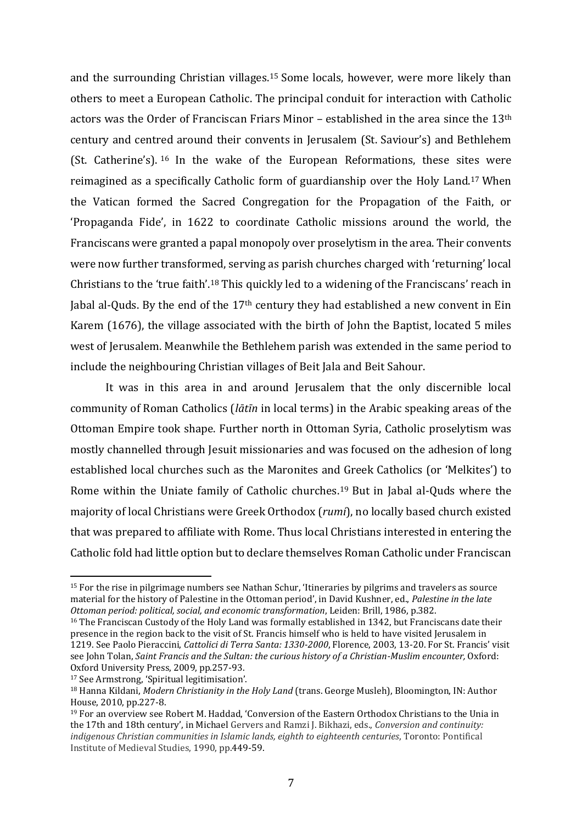and the surrounding Christian villages. <sup>15</sup> Some locals, however, were more likely than others to meet a European Catholic. The principal conduit for interaction with Catholic actors was the Order of Franciscan Friars Minor – established in the area since the 13th century and centred around their convents in Jerusalem (St. Saviour's) and Bethlehem (St. Catherine's). <sup>16</sup> In the wake of the European Reformations, these sites were reimagined as a specifically Catholic form of guardianship over the Holy Land.<sup>17</sup> When the Vatican formed the Sacred Congregation for the Propagation of the Faith, or 'Propaganda Fide', in 1622 to coordinate Catholic missions around the world, the Franciscans were granted a papal monopoly over proselytism in the area. Their convents were now further transformed, serving as parish churches charged with 'returning' local Christians to the 'true faith'.<sup>18</sup> This quickly led to a widening of the Franciscans' reach in Jabal al-Quds. By the end of the 17th century they had established a new convent in Ein Karem (1676), the village associated with the birth of John the Baptist, located 5 miles west of Jerusalem. Meanwhile the Bethlehem parish was extended in the same period to include the neighbouring Christian villages of Beit Jala and Beit Sahour.

It was in this area in and around Jerusalem that the only discernible local community of Roman Catholics (*lātīn* in local terms) in the Arabic speaking areas of the Ottoman Empire took shape. Further north in Ottoman Syria, Catholic proselytism was mostly channelled through Jesuit missionaries and was focused on the adhesion of long established local churches such as the Maronites and Greek Catholics (or 'Melkites') to Rome within the Uniate family of Catholic churches.<sup>19</sup> But in Jabal al-Quds where the majority of local Christians were Greek Orthodox (*rumi*), no locally based church existed that was prepared to affiliate with Rome. Thus local Christians interested in entering the Catholic fold had little option but to declare themselves Roman Catholic under Franciscan

<sup>15</sup> For the rise in pilgrimage numbers see Nathan Schur, 'Itineraries by pilgrims and travelers as source material for the history of Palestine in the Ottoman period', in David Kushner, ed., *Palestine in the late Ottoman period: political, social, and economic transformation*, Leiden: Brill, 1986, p.382.

<sup>&</sup>lt;sup>16</sup> The Franciscan Custody of the Holy Land was formally established in 1342, but Franciscans date their presence in the region back to the visit of St. Francis himself who is held to have visited Jerusalem in 1219. See Paolo Pieraccini, *Cattolici di Terra Santa: 1330-2000*, Florence, 2003, 13-20. For St. Francis' visit see John Tolan, *Saint Francis and the Sultan: the curious history of a Christian-Muslim encounter,* Oxford: Oxford University Press, 2009, pp.257-93.

<sup>17</sup> See Armstrong, 'Spiritual legitimisation'.

<sup>18</sup> Hanna Kildani, *Modern Christianity in the Holy Land* (trans. George Musleh), Bloomington, IN: Author House, 2010, pp.227-8.

<sup>19</sup> For an overview see Robert M. Haddad, 'Conversion of the Eastern Orthodox Christians to the Unia in the 17th and 18th century', in Michael Gervers and Ramzi J. Bikhazi, eds., *Conversion and continuity: indigenous Christian communities in Islamic lands, eighth to eighteenth centuries*, Toronto: Pontifical Institute of Medieval Studies, 1990, pp.449-59.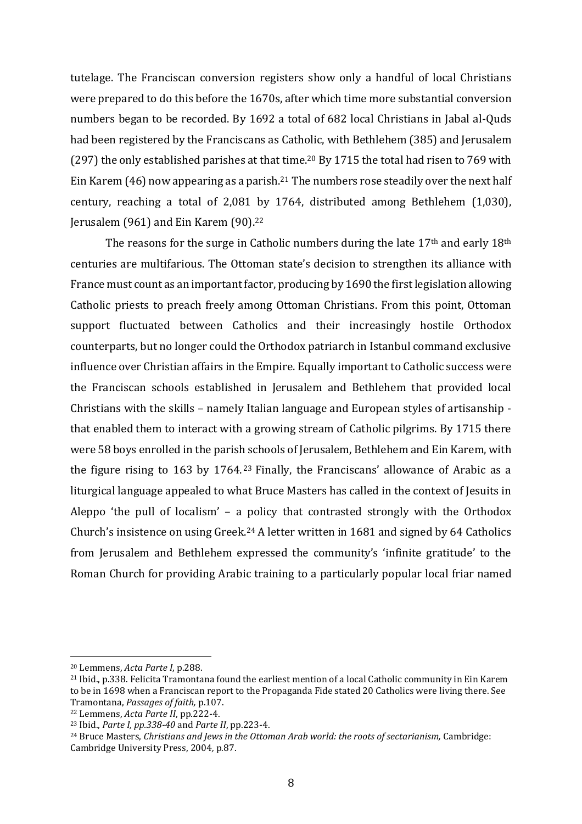tutelage. The Franciscan conversion registers show only a handful of local Christians were prepared to do this before the 1670s, after which time more substantial conversion numbers began to be recorded. By 1692 a total of 682 local Christians in Jabal al-Quds had been registered by the Franciscans as Catholic, with Bethlehem (385) and Jerusalem (297) the only established parishes at that time.<sup>20</sup> By 1715 the total had risen to 769 with Ein Karem  $(46)$  now appearing as a parish.<sup>21</sup> The numbers rose steadily over the next half century, reaching a total of 2,081 by 1764, distributed among Bethlehem (1,030), Jerusalem (961) and Ein Karem (90).<sup>22</sup>

The reasons for the surge in Catholic numbers during the late 17<sup>th</sup> and early 18<sup>th</sup> centuries are multifarious. The Ottoman state's decision to strengthen its alliance with France must count as an important factor, producing by 1690 the first legislation allowing Catholic priests to preach freely among Ottoman Christians. From this point, Ottoman support fluctuated between Catholics and their increasingly hostile Orthodox counterparts, but no longer could the Orthodox patriarch in Istanbul command exclusive influence over Christian affairs in the Empire. Equally important to Catholic success were the Franciscan schools established in Jerusalem and Bethlehem that provided local Christians with the skills – namely Italian language and European styles of artisanship that enabled them to interact with a growing stream of Catholic pilgrims. By 1715 there were 58 boys enrolled in the parish schools of Jerusalem, Bethlehem and Ein Karem, with the figure rising to 163 by 1764. <sup>23</sup> Finally, the Franciscans' allowance of Arabic as a liturgical language appealed to what Bruce Masters has called in the context of Jesuits in Aleppo 'the pull of localism' – a policy that contrasted strongly with the Orthodox Church's insistence on using Greek. <sup>24</sup> A letter written in 1681 and signed by 64 Catholics from Jerusalem and Bethlehem expressed the community's 'infinite gratitude' to the Roman Church for providing Arabic training to a particularly popular local friar named

<sup>20</sup> Lemmens, *Acta Parte I*, p.288.

<sup>21</sup> Ibid., p.338. Felicita Tramontana found the earliest mention of a local Catholic community in Ein Karem to be in 1698 when a Franciscan report to the Propaganda Fide stated 20 Catholics were living there. See Tramontana, *Passages of faith,* p.107.

<sup>22</sup> Lemmens, *Acta Parte II*, pp.222-4.

<sup>23</sup> Ibid., *Parte I, pp.338-40* and *Parte II*, pp.223-4.

<sup>&</sup>lt;sup>24</sup> Bruce Masters, *Christians and Jews in the Ottoman Arab world: the roots of sectarianism*, Cambridge: Cambridge University Press, 2004*,* p.87.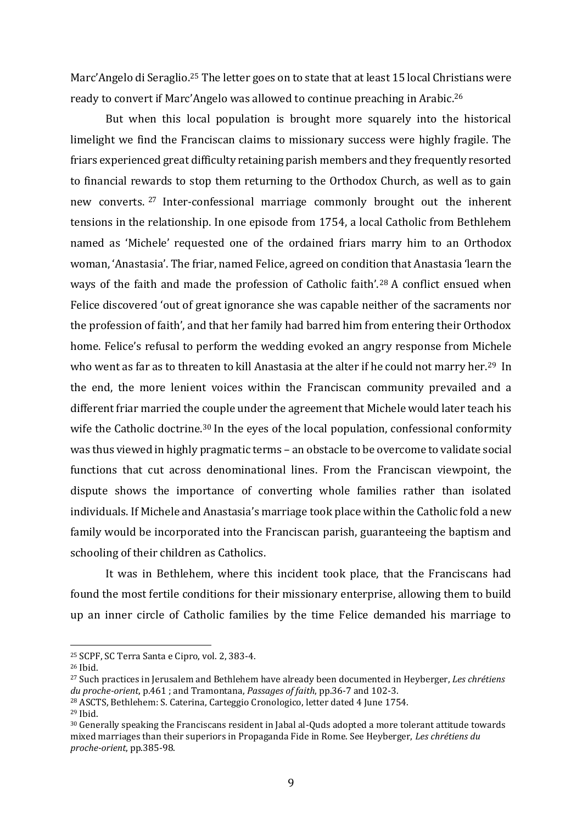Marc'Angelo di Seraglio.<sup>25</sup> The letter goes on to state that at least 15 local Christians were ready to convert if Marc'Angelo was allowed to continue preaching in Arabic.<sup>26</sup>

But when this local population is brought more squarely into the historical limelight we find the Franciscan claims to missionary success were highly fragile. The friars experienced great difficulty retaining parish members and they frequently resorted to financial rewards to stop them returning to the Orthodox Church, as well as to gain new converts. <sup>27</sup> Inter-confessional marriage commonly brought out the inherent tensions in the relationship. In one episode from 1754, a local Catholic from Bethlehem named as 'Michele' requested one of the ordained friars marry him to an Orthodox woman, 'Anastasia'. The friar, named Felice, agreed on condition that Anastasia 'learn the ways of the faith and made the profession of Catholic faith'.<sup>28</sup> A conflict ensued when Felice discovered 'out of great ignorance she was capable neither of the sacraments nor the profession of faith', and that her family had barred him from entering their Orthodox home. Felice's refusal to perform the wedding evoked an angry response from Michele who went as far as to threaten to kill Anastasia at the alter if he could not marry her. <sup>29</sup> In the end, the more lenient voices within the Franciscan community prevailed and a different friar married the couple under the agreement that Michele would later teach his wife the Catholic doctrine.<sup>30</sup> In the eyes of the local population, confessional conformity was thus viewed in highly pragmatic terms – an obstacle to be overcome to validate social functions that cut across denominational lines. From the Franciscan viewpoint, the dispute shows the importance of converting whole families rather than isolated individuals. If Michele and Anastasia's marriage took place within the Catholic fold a new family would be incorporated into the Franciscan parish, guaranteeing the baptism and schooling of their children as Catholics.

It was in Bethlehem, where this incident took place, that the Franciscans had found the most fertile conditions for their missionary enterprise, allowing them to build up an inner circle of Catholic families by the time Felice demanded his marriage to

<sup>25</sup> SCPF, SC Terra Santa e Cipro, vol. 2, 383-4.

<sup>26</sup> Ibid.

<sup>27</sup> Such practices in Jerusalem and Bethlehem have already been documented in Heyberger, *Les chrétiens du proche-orient*, p.461 ; and Tramontana, *Passages of faith*, pp.36-7 and 102-3.

<sup>28</sup> ASCTS, Bethlehem: S. Caterina, Carteggio Cronologico, letter dated 4 June 1754.

<sup>29</sup> Ibid.

<sup>30</sup> Generally speaking the Franciscans resident in Jabal al-Quds adopted a more tolerant attitude towards mixed marriages than their superiors in Propaganda Fide in Rome. See Heyberger, *Les chrétiens du proche-orient*, pp.385-98.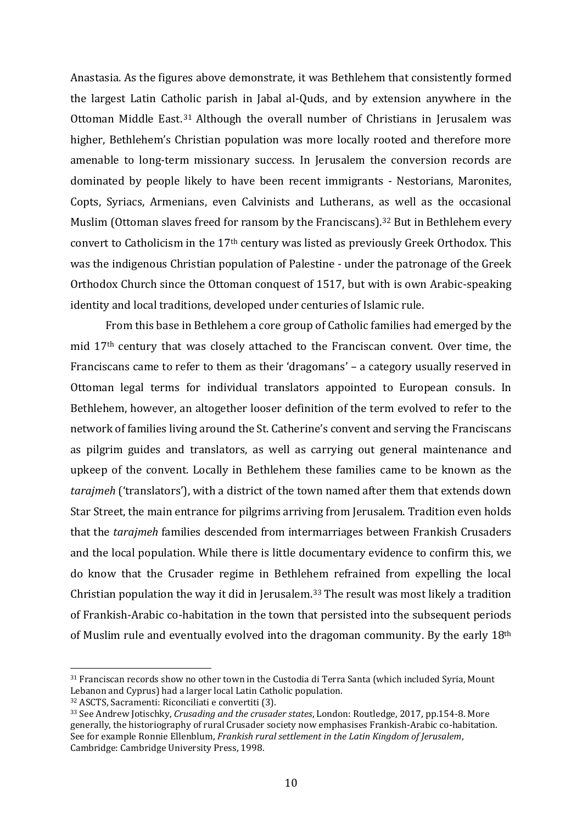Anastasia. As the figures above demonstrate, it was Bethlehem that consistently formed the largest Latin Catholic parish in Jabal al-Quds, and by extension anywhere in the Ottoman Middle East.<sup>31</sup> Although the overall number of Christians in Jerusalem was higher, Bethlehem's Christian population was more locally rooted and therefore more amenable to long-term missionary success. In Jerusalem the conversion records are dominated by people likely to have been recent immigrants - Nestorians, Maronites, Copts, Syriacs, Armenians, even Calvinists and Lutherans, as well as the occasional Muslim (Ottoman slaves freed for ransom by the Franciscans).<sup>32</sup> But in Bethlehem every convert to Catholicism in the 17th century was listed as previously Greek Orthodox. This was the indigenous Christian population of Palestine - under the patronage of the Greek Orthodox Church since the Ottoman conquest of 1517, but with is own Arabic-speaking identity and local traditions, developed under centuries of Islamic rule.

From this base in Bethlehem a core group of Catholic families had emerged by the mid 17th century that was closely attached to the Franciscan convent. Over time, the Franciscans came to refer to them as their 'dragomans' – a category usually reserved in Ottoman legal terms for individual translators appointed to European consuls. In Bethlehem, however, an altogether looser definition of the term evolved to refer to the network of families living around the St. Catherine's convent and serving the Franciscans as pilgrim guides and translators, as well as carrying out general maintenance and upkeep of the convent. Locally in Bethlehem these families came to be known as the *tarajmeh* ('translators'), with a district of the town named after them that extends down Star Street, the main entrance for pilgrims arriving from Jerusalem. Tradition even holds that the *tarajmeh* families descended from intermarriages between Frankish Crusaders and the local population. While there is little documentary evidence to confirm this, we do know that the Crusader regime in Bethlehem refrained from expelling the local Christian population the way it did in Jerusalem.<sup>33</sup> The result was most likely a tradition of Frankish-Arabic co-habitation in the town that persisted into the subsequent periods of Muslim rule and eventually evolved into the dragoman community. By the early 18th

<sup>&</sup>lt;sup>31</sup> Franciscan records show no other town in the Custodia di Terra Santa (which included Syria, Mount Lebanon and Cyprus) had a larger local Latin Catholic population.

<sup>32</sup> ASCTS, Sacramenti: Riconciliati e convertiti (3).

<sup>33</sup> See Andrew Jotischky, *Crusading and the crusader states*, London: Routledge, 2017, pp.154-8. More generally, the historiography of rural Crusader society now emphasises Frankish-Arabic co-habitation. See for example Ronnie Ellenblum, *Frankish rural settlement in the Latin Kingdom of Jerusalem*, Cambridge: Cambridge University Press, 1998.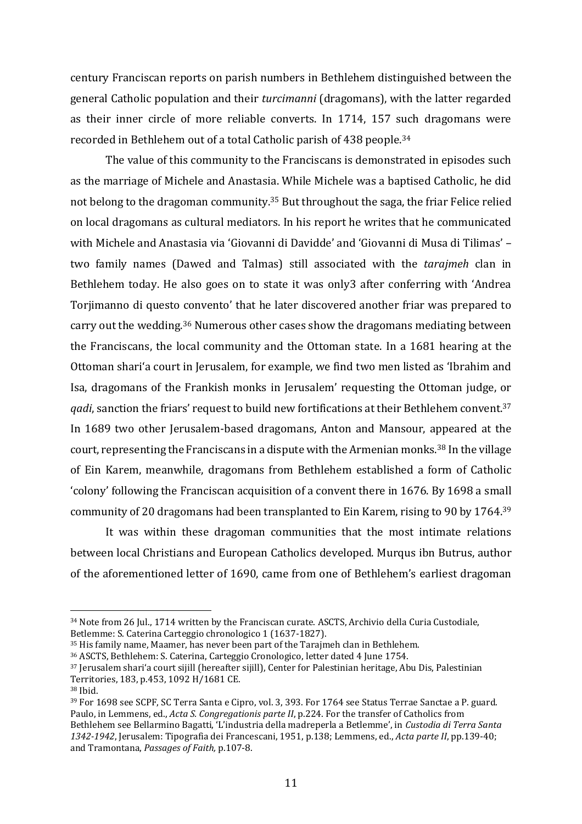century Franciscan reports on parish numbers in Bethlehem distinguished between the general Catholic population and their *turcimanni* (dragomans), with the latter regarded as their inner circle of more reliable converts. In 1714, 157 such dragomans were recorded in Bethlehem out of a total Catholic parish of 438 people.<sup>34</sup>

The value of this community to the Franciscans is demonstrated in episodes such as the marriage of Michele and Anastasia. While Michele was a baptised Catholic, he did not belong to the dragoman community.<sup>35</sup> But throughout the saga, the friar Felice relied on local dragomans as cultural mediators. In his report he writes that he communicated with Michele and Anastasia via 'Giovanni di Davidde' and 'Giovanni di Musa di Tilimas' – two family names (Dawed and Talmas) still associated with the *tarajmeh* clan in Bethlehem today. He also goes on to state it was only3 after conferring with 'Andrea Torjimanno di questo convento' that he later discovered another friar was prepared to carry out the wedding.<sup>36</sup> Numerous other cases show the dragomans mediating between the Franciscans, the local community and the Ottoman state. In a 1681 hearing at the Ottoman shari'a court in Jerusalem, for example, we find two men listed as 'Ibrahim and Isa, dragomans of the Frankish monks in Jerusalem' requesting the Ottoman judge, or *qadi*, sanction the friars' request to build new fortifications at their Bethlehem convent.<sup>37</sup> In 1689 two other Jerusalem-based dragomans, Anton and Mansour, appeared at the court, representing the Franciscans in a dispute with the Armenian monks.<sup>38</sup> In the village of Ein Karem, meanwhile, dragomans from Bethlehem established a form of Catholic 'colony' following the Franciscan acquisition of a convent there in 1676. By 1698 a small community of 20 dragomans had been transplanted to Ein Karem, rising to 90 by 1764.<sup>39</sup>

It was within these dragoman communities that the most intimate relations between local Christians and European Catholics developed. Murqus ibn Butrus, author of the aforementioned letter of 1690, came from one of Bethlehem's earliest dragoman

<sup>34</sup> Note from 26 Jul., 1714 written by the Franciscan curate. ASCTS, Archivio della Curia Custodiale, Betlemme: S. Caterina Carteggio chronologico 1 (1637-1827).

<sup>35</sup> His family name, Maamer, has never been part of the Tarajmeh clan in Bethlehem.

<sup>36</sup> ASCTS, Bethlehem: S. Caterina, Carteggio Cronologico, letter dated 4 June 1754.

<sup>37</sup> Jerusalem shari'a court sijill (hereafter sijill), Center for Palestinian heritage, Abu Dis, Palestinian Territories, 183, p.453, 1092 H/1681 CE.

<sup>38</sup> Ibid.

<sup>39</sup> For 1698 see SCPF, SC Terra Santa e Cipro, vol. 3, 393. For 1764 see Status Terrae Sanctae a P. guard. Paulo, in Lemmens, ed., *Acta S. Congregationis parte II*, p.224. For the transfer of Catholics from Bethlehem see Bellarmino Bagatti, 'L'industria della madreperla a Betlemme', in *Custodia di Terra Santa 1342-1942*, Jerusalem: Tipografia dei Francescani, 1951, p.138; Lemmens, ed., *Acta parte II*, pp.139-40; and Tramontana, *Passages of Faith,* p.107-8.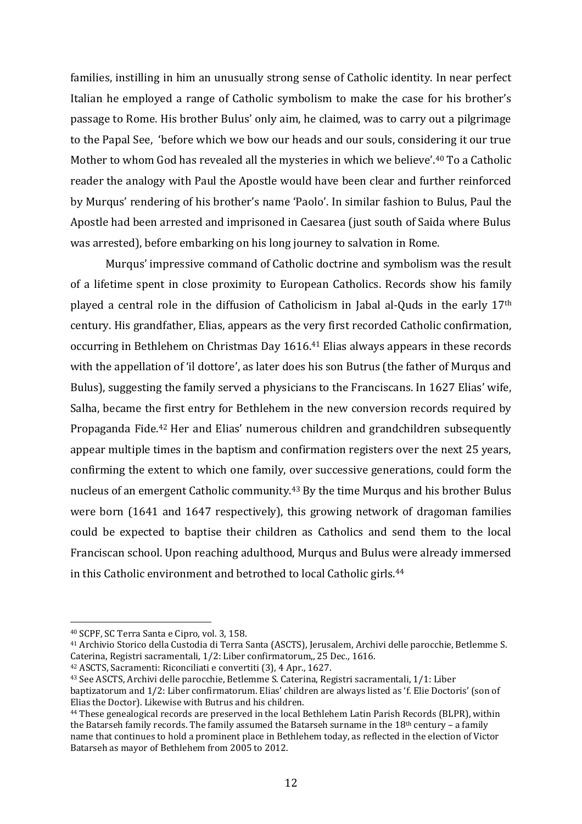families, instilling in him an unusually strong sense of Catholic identity. In near perfect Italian he employed a range of Catholic symbolism to make the case for his brother's passage to Rome. His brother Bulus' only aim, he claimed, was to carry out a pilgrimage to the Papal See, 'before which we bow our heads and our souls, considering it our true Mother to whom God has revealed all the mysteries in which we believe'.<sup>40</sup> To a Catholic reader the analogy with Paul the Apostle would have been clear and further reinforced by Murqus' rendering of his brother's name 'Paolo'. In similar fashion to Bulus, Paul the Apostle had been arrested and imprisoned in Caesarea (just south of Saida where Bulus was arrested), before embarking on his long journey to salvation in Rome.

Murqus' impressive command of Catholic doctrine and symbolism was the result of a lifetime spent in close proximity to European Catholics. Records show his family played a central role in the diffusion of Catholicism in Jabal al-Quds in the early 17th century. His grandfather, Elias, appears as the very first recorded Catholic confirmation, occurring in Bethlehem on Christmas Day 1616.<sup>41</sup> Elias always appears in these records with the appellation of 'il dottore', as later does his son Butrus (the father of Murqus and Bulus), suggesting the family served a physicians to the Franciscans. In 1627 Elias' wife, Salha, became the first entry for Bethlehem in the new conversion records required by Propaganda Fide.<sup>42</sup> Her and Elias' numerous children and grandchildren subsequently appear multiple times in the baptism and confirmation registers over the next 25 years, confirming the extent to which one family, over successive generations, could form the nucleus of an emergent Catholic community.<sup>43</sup> By the time Murqus and his brother Bulus were born (1641 and 1647 respectively), this growing network of dragoman families could be expected to baptise their children as Catholics and send them to the local Franciscan school. Upon reaching adulthood, Murqus and Bulus were already immersed in this Catholic environment and betrothed to local Catholic girls.<sup>44</sup>

<sup>40</sup> SCPF, SC Terra Santa e Cipro, vol. 3, 158.

<sup>41</sup> Archivio Storico della Custodia di Terra Santa (ASCTS), Jerusalem, Archivi delle parocchie, Betlemme S. Caterina, Registri sacramentali, 1/2: Liber confirmatorum,, 25 Dec., 1616.

<sup>42</sup> ASCTS, Sacramenti: Riconciliati e convertiti (3), 4 Apr., 1627.

<sup>43</sup> See ASCTS, Archivi delle parocchie, Betlemme S. Caterina, Registri sacramentali, 1/1: Liber baptizatorum and 1/2: Liber confirmatorum. Elias' children are always listed as 'f. Elie Doctoris' (son of Elias the Doctor). Likewise with Butrus and his children.

<sup>44</sup> These genealogical records are preserved in the local Bethlehem Latin Parish Records (BLPR), within the Batarseh family records. The family assumed the Batarseh surname in the  $18<sup>th</sup>$  century – a family name that continues to hold a prominent place in Bethlehem today, as reflected in the election of Victor Batarseh as mayor of Bethlehem from 2005 to 2012.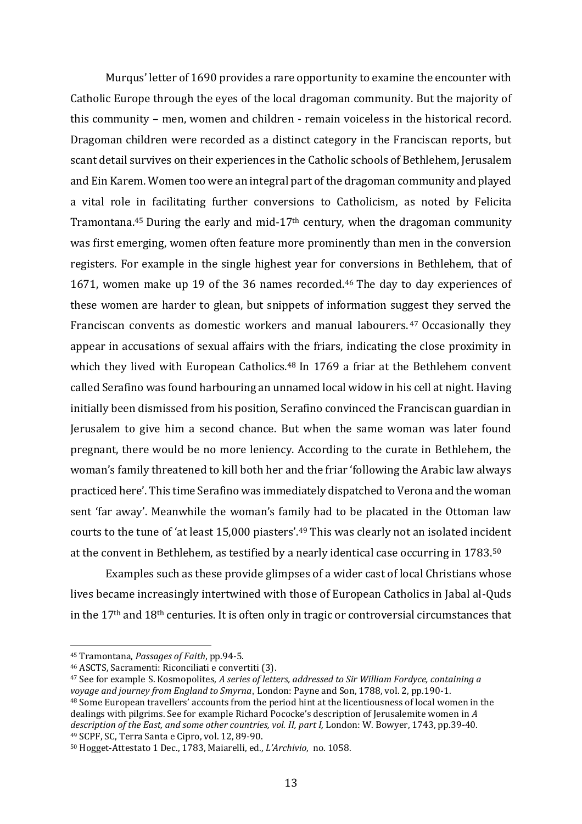Murqus' letter of 1690 provides a rare opportunity to examine the encounter with Catholic Europe through the eyes of the local dragoman community. But the majority of this community – men, women and children - remain voiceless in the historical record. Dragoman children were recorded as a distinct category in the Franciscan reports, but scant detail survives on their experiences in the Catholic schools of Bethlehem, Jerusalem and Ein Karem. Women too were an integral part of the dragoman community and played a vital role in facilitating further conversions to Catholicism, as noted by Felicita Tramontana.<sup>45</sup> During the early and mid-17th century, when the dragoman community was first emerging, women often feature more prominently than men in the conversion registers. For example in the single highest year for conversions in Bethlehem, that of 1671, women make up 19 of the 36 names recorded.<sup>46</sup> The day to day experiences of these women are harder to glean, but snippets of information suggest they served the Franciscan convents as domestic workers and manual labourers. <sup>47</sup> Occasionally they appear in accusations of sexual affairs with the friars, indicating the close proximity in which they lived with European Catholics.<sup>48</sup> In 1769 a friar at the Bethlehem convent called Serafino was found harbouring an unnamed local widow in his cell at night. Having initially been dismissed from his position, Serafino convinced the Franciscan guardian in Jerusalem to give him a second chance. But when the same woman was later found pregnant, there would be no more leniency. According to the curate in Bethlehem, the woman's family threatened to kill both her and the friar 'following the Arabic law always practiced here'. This time Serafino was immediately dispatched to Verona and the woman sent 'far away'. Meanwhile the woman's family had to be placated in the Ottoman law courts to the tune of 'at least 15,000 piasters'.<sup>49</sup> This was clearly not an isolated incident at the convent in Bethlehem, as testified by a nearly identical case occurring in 1783.<sup>50</sup>

Examples such as these provide glimpses of a wider cast of local Christians whose lives became increasingly intertwined with those of European Catholics in Jabal al-Quds in the 17th and 18th centuries. It is often only in tragic or controversial circumstances that

<sup>45</sup> Tramontana, *Passages of Faith*, pp.94-5.

<sup>46</sup> ASCTS, Sacramenti: Riconciliati e convertiti (3).

<sup>47</sup> See for example S. Kosmopolites, *A series of letters, addressed to Sir William Fordyce, containing a voyage and journey from England to Smyrna*, London: Payne and Son, 1788, vol. 2, pp.190-1. <sup>48</sup> Some European travellers' accounts from the period hint at the licentiousness of local women in the dealings with pilgrims. See for example Richard Pococke's description of Jerusalemite women in *A description of the East, and some other countries, vol. II, part I,* London: W. Bowyer, 1743, pp.39-40. <sup>49</sup> SCPF, SC, Terra Santa e Cipro, vol. 12, 89-90.

<sup>50</sup> Hogget-Attestato 1 Dec., 1783, Maiarelli, ed., *L'Archivio*, no. 1058.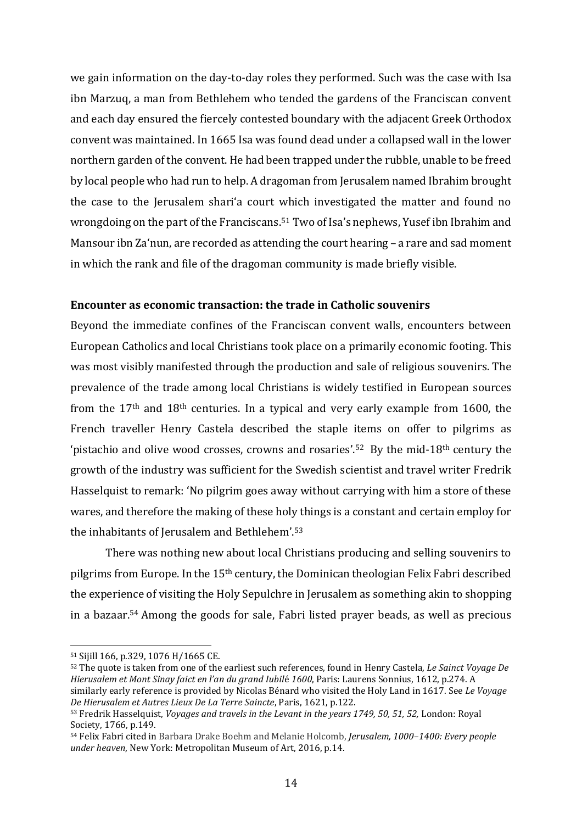we gain information on the day-to-day roles they performed. Such was the case with Isa ibn Marzuq, a man from Bethlehem who tended the gardens of the Franciscan convent and each day ensured the fiercely contested boundary with the adjacent Greek Orthodox convent was maintained. In 1665 Isa was found dead under a collapsed wall in the lower northern garden of the convent. He had been trapped under the rubble, unable to be freed by local people who had run to help. A dragoman from Jerusalem named Ibrahim brought the case to the Jerusalem shari'a court which investigated the matter and found no wrongdoing on the part of the Franciscans.<sup>51</sup> Two of Isa's nephews, Yusef ibn Ibrahim and Mansour ibn Za'nun, are recorded as attending the court hearing – a rare and sad moment in which the rank and file of the dragoman community is made briefly visible.

## **Encounter as economic transaction: the trade in Catholic souvenirs**

Beyond the immediate confines of the Franciscan convent walls, encounters between European Catholics and local Christians took place on a primarily economic footing. This was most visibly manifested through the production and sale of religious souvenirs. The prevalence of the trade among local Christians is widely testified in European sources from the  $17<sup>th</sup>$  and  $18<sup>th</sup>$  centuries. In a typical and very early example from 1600, the French traveller Henry Castela described the staple items on offer to pilgrims as 'pistachio and olive wood crosses, crowns and rosaries'. <sup>52</sup> By the mid-18th century the growth of the industry was sufficient for the Swedish scientist and travel writer Fredrik Hasselquist to remark: 'No pilgrim goes away without carrying with him a store of these wares, and therefore the making of these holy things is a constant and certain employ for the inhabitants of Jerusalem and Bethlehem'.<sup>53</sup>

There was nothing new about local Christians producing and selling souvenirs to pilgrims from Europe. In the 15th century, the Dominican theologian Felix Fabri described the experience of visiting the Holy Sepulchre in Jerusalem as something akin to shopping in a bazaar. <sup>54</sup> Among the goods for sale, Fabri listed prayer beads, as well as precious

<sup>51</sup> Sijill 166, p.329, 1076 H/1665 CE.

<sup>52</sup> The quote is taken from one of the earliest such references, found in Henry Castela, *Le Sainct Voyage De Hierusalem et Mont Sinay faict en l'an du grand Iubil*é *1600*, Paris: Laurens Sonnius, 1612, p.274. A similarly early reference is provided by Nicolas Bénard who visited the Holy Land in 1617. See *Le Voyage De Hierusalem et Autres Lieux De La Terre Saincte*, Paris, 1621, p.122.

<sup>53</sup> Fredrik Hasselquist, *Voyages and travels in the Levant in the years 1749, 50, 51, 52,* London: Royal Society, 1766, p.149.

<sup>54</sup> Felix Fabri cited in Barbara Drake Boehm and Melanie Holcomb, *Jerusalem, 1000–1400: Every people under heaven*, New York: Metropolitan Museum of Art, 2016, p.14.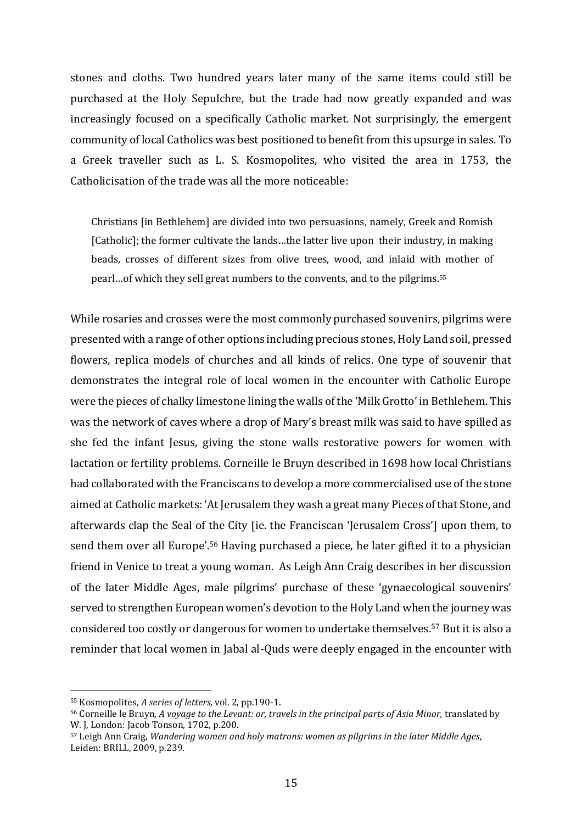stones and cloths. Two hundred years later many of the same items could still be purchased at the Holy Sepulchre, but the trade had now greatly expanded and was increasingly focused on a specifically Catholic market. Not surprisingly, the emergent community of local Catholics was best positioned to benefit from this upsurge in sales. To a Greek traveller such as L. S. Kosmopolites, who visited the area in 1753, the Catholicisation of the trade was all the more noticeable:

Christians [in Bethlehem] are divided into two persuasions, namely, Greek and Romish [Catholic]; the former cultivate the lands…the latter live upon their industry, in making beads, crosses of different sizes from olive trees, wood, and inlaid with mother of pearl…of which they sell great numbers to the convents, and to the pilgrims.<sup>55</sup>

While rosaries and crosses were the most commonly purchased souvenirs, pilgrims were presented with a range of other options including precious stones, Holy Land soil, pressed flowers, replica models of churches and all kinds of relics. One type of souvenir that demonstrates the integral role of local women in the encounter with Catholic Europe were the pieces of chalky limestone lining the walls of the 'Milk Grotto' in Bethlehem. This was the network of caves where a drop of Mary's breast milk was said to have spilled as she fed the infant Jesus, giving the stone walls restorative powers for women with lactation or fertility problems. Corneille le Bruyn described in 1698 how local Christians had collaborated with the Franciscans to develop a more commercialised use of the stone aimed at Catholic markets: 'At Jerusalem they wash a great many Pieces of that Stone, and afterwards clap the Seal of the City [ie. the Franciscan 'Jerusalem Cross'] upon them, to send them over all Europe'.<sup>56</sup> Having purchased a piece, he later gifted it to a physician friend in Venice to treat a young woman. As Leigh Ann Craig describes in her discussion of the later Middle Ages, male pilgrims' purchase of these 'gynaecological souvenirs' served to strengthen European women's devotion to the Holy Land when the journey was considered too costly or dangerous for women to undertake themselves.<sup>57</sup> But it is also a reminder that local women in Jabal al-Quds were deeply engaged in the encounter with

<sup>55</sup> Kosmopolites, *A series of letters*, vol. 2, pp.190-1.

<sup>56</sup> Corneille le Bruyn, *A voyage to the Levant: or, travels in the principal parts of Asia Minor,* translated by W. J, London: Jacob Tonson, 1702, p.200.

<sup>57</sup> Leigh Ann Craig, *Wandering women and holy matrons: women as pilgrims in the later Middle Ages*, Leiden: BRILL, 2009, p.239.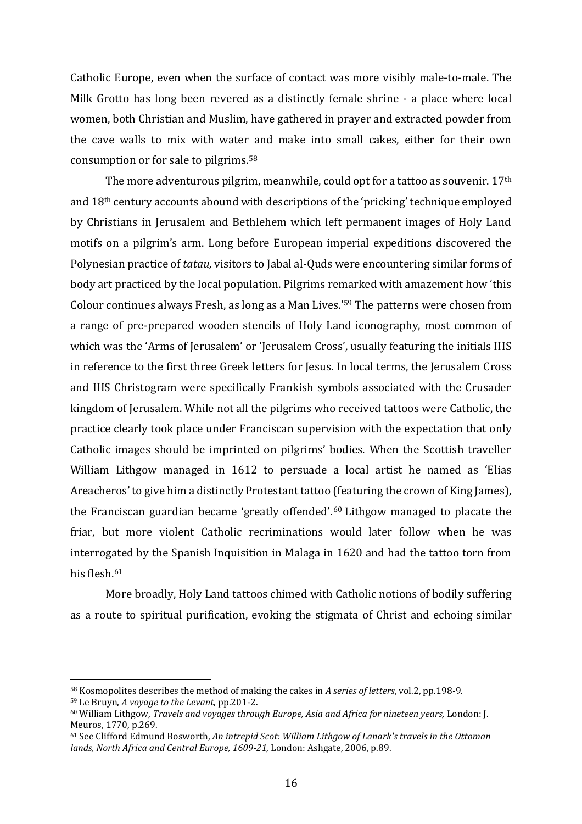Catholic Europe, even when the surface of contact was more visibly male-to-male. The Milk Grotto has long been revered as a distinctly female shrine - a place where local women, both Christian and Muslim, have gathered in prayer and extracted powder from the cave walls to mix with water and make into small cakes, either for their own consumption or for sale to pilgrims.<sup>58</sup>

The more adventurous pilgrim, meanwhile, could opt for a tattoo as souvenir. 17th and 18th century accounts abound with descriptions of the 'pricking' technique employed by Christians in Jerusalem and Bethlehem which left permanent images of Holy Land motifs on a pilgrim's arm. Long before European imperial expeditions discovered the Polynesian practice of *tatau,* visitors to Jabal al-Quds were encountering similar forms of body art practiced by the local population. Pilgrims remarked with amazement how 'this Colour continues always Fresh, as long as a Man Lives.'<sup>59</sup> The patterns were chosen from a range of pre-prepared wooden stencils of Holy Land iconography, most common of which was the 'Arms of Jerusalem' or 'Jerusalem Cross', usually featuring the initials IHS in reference to the first three Greek letters for Jesus. In local terms, the Jerusalem Cross and IHS Christogram were specifically Frankish symbols associated with the Crusader kingdom of Jerusalem. While not all the pilgrims who received tattoos were Catholic, the practice clearly took place under Franciscan supervision with the expectation that only Catholic images should be imprinted on pilgrims' bodies. When the Scottish traveller William Lithgow managed in 1612 to persuade a local artist he named as 'Elias Areacheros' to give him a distinctly Protestant tattoo (featuring the crown of King James), the Franciscan guardian became 'greatly offended'. <sup>60</sup> Lithgow managed to placate the friar, but more violent Catholic recriminations would later follow when he was interrogated by the Spanish Inquisition in Malaga in 1620 and had the tattoo torn from his flesh.<sup>61</sup>

More broadly, Holy Land tattoos chimed with Catholic notions of bodily suffering as a route to spiritual purification, evoking the stigmata of Christ and echoing similar

<sup>58</sup> Kosmopolites describes the method of making the cakes in *A series of letters*, vol.2, pp.198-9. <sup>59</sup> Le Bruyn, *A voyage to the Levant*, pp.201-2.

<sup>60</sup> William Lithgow, *Travels and voyages through Europe, Asia and Africa for nineteen years,* London: J. Meuros, 1770, p.269.

<sup>61</sup> See Clifford Edmund Bosworth, *An intrepid Scot: William Lithgow of Lanark's travels in the Ottoman lands, North Africa and Central Europe, 1609-21*, London: Ashgate, 2006, p.89.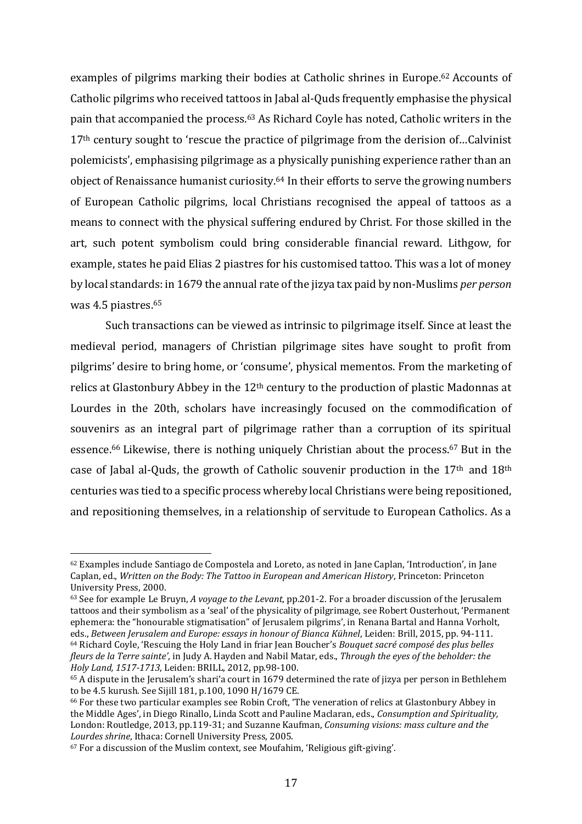examples of pilgrims marking their bodies at Catholic shrines in Europe. <sup>62</sup> Accounts of Catholic pilgrims who received tattoos in Jabal al-Quds frequently emphasise the physical pain that accompanied the process.<sup>63</sup> As Richard Coyle has noted, Catholic writers in the  $17<sup>th</sup>$  century sought to 'rescue the practice of pilgrimage from the derision of...Calvinist polemicists', emphasising pilgrimage as a physically punishing experience rather than an object of Renaissance humanist curiosity. <sup>64</sup> In their efforts to serve the growing numbers of European Catholic pilgrims, local Christians recognised the appeal of tattoos as a means to connect with the physical suffering endured by Christ. For those skilled in the art, such potent symbolism could bring considerable financial reward. Lithgow, for example, states he paid Elias 2 piastres for his customised tattoo. This was a lot of money by local standards: in 1679 the annual rate of the jizya tax paid by non-Muslims *per person* was 4.5 piastres.<sup>65</sup>

Such transactions can be viewed as intrinsic to pilgrimage itself. Since at least the medieval period, managers of Christian pilgrimage sites have sought to profit from pilgrims' desire to bring home, or 'consume', physical mementos. From the marketing of relics at Glastonbury Abbey in the 12<sup>th</sup> century to the production of plastic Madonnas at Lourdes in the 20th, scholars have increasingly focused on the commodification of souvenirs as an integral part of pilgrimage rather than a corruption of its spiritual essence.<sup>66</sup> Likewise, there is nothing uniquely Christian about the process.<sup>67</sup> But in the case of Jabal al-Quds, the growth of Catholic souvenir production in the  $17<sup>th</sup>$  and  $18<sup>th</sup>$ centuries was tied to a specific process whereby local Christians were being repositioned, and repositioning themselves, in a relationship of servitude to European Catholics. As a

<sup>62</sup> Examples include Santiago de Compostela and Loreto, as noted in Jane Caplan, 'Introduction', in Jane Caplan, ed., *Written on the Body: The Tattoo in European and American History*, Princeton: Princeton University Press, 2000.

<sup>63</sup> See for example Le Bruyn, *A voyage to the Levant*, pp.201-2. For a broader discussion of the Jerusalem tattoos and their symbolism as a 'seal' of the physicality of pilgrimage, see Robert Ousterhout, 'Permanent ephemera: the "honourable stigmatisation" of Jerusalem pilgrims', in Renana Bartal and Hanna Vorholt, eds., *Between Jerusalem and Europe: essays in honour of Bianca Kühnel*, Leiden: Brill, 2015, pp. 94-111. <sup>64</sup> Richard Coyle, 'Rescuing the Holy Land in friar Jean Boucher's *Bouquet sacré composé des plus belles fleurs de la Terre sainte'*, in Judy A. Hayden and Nabil Matar, eds., *Through the eyes of the beholder: the Holy Land, 1517-1713*, Leiden: BRILL, 2012, pp.98-100.

<sup>65</sup> A dispute in the Jerusalem's shari'a court in 1679 determined the rate of jizya per person in Bethlehem to be 4.5 kurush. See Sijill 181, p.100, 1090 H/1679 CE.

<sup>66</sup> For these two particular examples see Robin Croft, 'The veneration of relics at Glastonbury Abbey in the Middle Ages', in Diego Rinallo, Linda Scott and Pauline Maclaran, eds., *Consumption and Spirituality,*  London: Routledge, 2013, pp.119-31; and Suzanne Kaufman, *Consuming visions: mass culture and the Lourdes shrine*, Ithaca: Cornell University Press, 2005.

<sup>67</sup> For a discussion of the Muslim context, see Moufahim, 'Religious gift-giving'.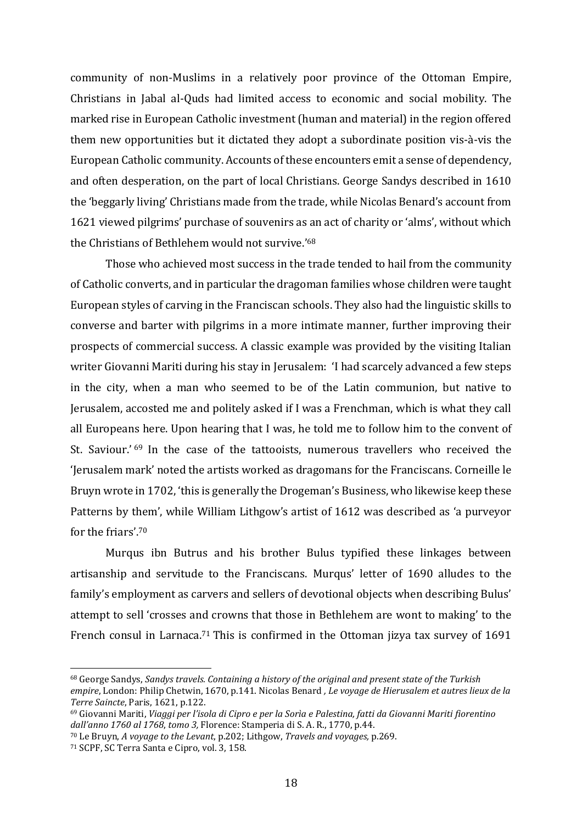community of non-Muslims in a relatively poor province of the Ottoman Empire, Christians in Jabal al-Quds had limited access to economic and social mobility. The marked rise in European Catholic investment (human and material) in the region offered them new opportunities but it dictated they adopt a subordinate position vis-à-vis the European Catholic community. Accounts of these encounters emit a sense of dependency, and often desperation, on the part of local Christians. George Sandys described in 1610 the 'beggarly living' Christians made from the trade, while Nicolas Benard's account from 1621 viewed pilgrims' purchase of souvenirs as an act of charity or 'alms', without which the Christians of Bethlehem would not survive.'<sup>68</sup>

Those who achieved most success in the trade tended to hail from the community of Catholic converts, and in particular the dragoman families whose children were taught European styles of carving in the Franciscan schools. They also had the linguistic skills to converse and barter with pilgrims in a more intimate manner, further improving their prospects of commercial success. A classic example was provided by the visiting Italian writer Giovanni Mariti during his stay in Jerusalem: 'I had scarcely advanced a few steps in the city, when a man who seemed to be of the Latin communion, but native to Jerusalem, accosted me and politely asked if I was a Frenchman, which is what they call all Europeans here. Upon hearing that I was, he told me to follow him to the convent of St. Saviour.'<sup>69</sup> In the case of the tattooists, numerous travellers who received the 'Jerusalem mark' noted the artists worked as dragomans for the Franciscans. Corneille le Bruyn wrote in 1702, 'this is generally the Drogeman's Business, who likewise keep these Patterns by them', while William Lithgow's artist of 1612 was described as 'a purveyor for the friars'.<sup>70</sup>

Murqus ibn Butrus and his brother Bulus typified these linkages between artisanship and servitude to the Franciscans. Murqus' letter of 1690 alludes to the family's employment as carvers and sellers of devotional objects when describing Bulus' attempt to sell 'crosses and crowns that those in Bethlehem are wont to making' to the French consul in Larnaca.<sup>71</sup> This is confirmed in the Ottoman jizya tax survey of 1691

<sup>68</sup> George Sandys, *Sandys travels. Containing a history of the original and present state of the Turkish empire*, London: Philip Chetwin, 1670, p.141. Nicolas Benard *, Le voyage de Hierusalem et autres lieux de la Terre Saincte*, Paris, 1621, p.122.

<sup>69</sup> Giovanni Mariti, *Viaggi per l'isola di Cipro e per la Sorìa e Palestina, fatti da Giovanni Mariti fiorentino dall'anno 1760 al 1768*, *tomo 3,* Florence: Stamperia di S. A. R., 1770, p.44.

<sup>70</sup> Le Bruyn, *A voyage to the Levant*, p.202; Lithgow, *Travels and voyages,* p.269.

<sup>71</sup> SCPF, SC Terra Santa e Cipro, vol. 3, 158.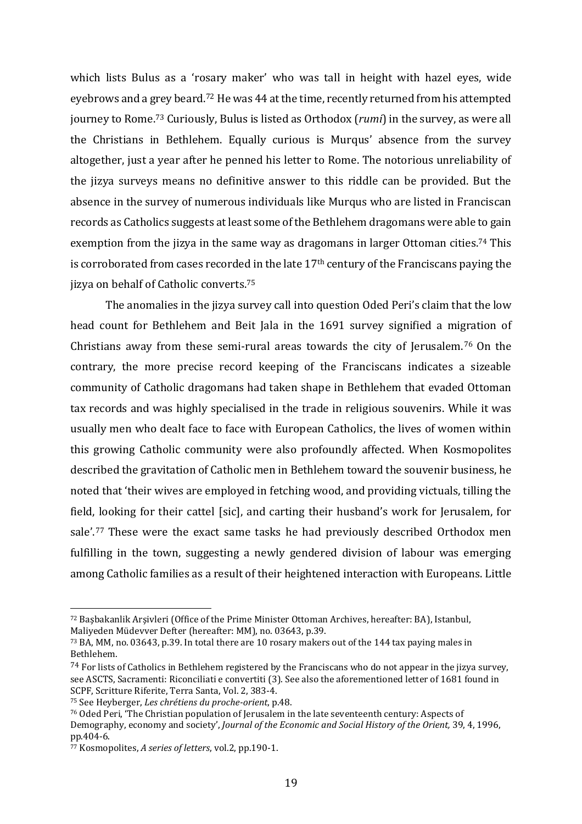which lists Bulus as a 'rosary maker' who was tall in height with hazel eyes, wide eyebrows and a grey beard. <sup>72</sup> He was 44 at the time, recently returned from his attempted journey to Rome. <sup>73</sup> Curiously, Bulus is listed as Orthodox (*rumi*) in the survey, as were all the Christians in Bethlehem. Equally curious is Murqus' absence from the survey altogether, just a year after he penned his letter to Rome. The notorious unreliability of the jizya surveys means no definitive answer to this riddle can be provided. But the absence in the survey of numerous individuals like Murqus who are listed in Franciscan records as Catholics suggests at least some of the Bethlehem dragomans were able to gain exemption from the jizya in the same way as dragomans in larger Ottoman cities.<sup>74</sup> This is corroborated from cases recorded in the late  $17<sup>th</sup>$  century of the Franciscans paying the jizya on behalf of Catholic converts.<sup>75</sup>

The anomalies in the jizya survey call into question Oded Peri's claim that the low head count for Bethlehem and Beit Jala in the 1691 survey signified a migration of Christians away from these semi-rural areas towards the city of Jerusalem.<sup>76</sup> On the contrary, the more precise record keeping of the Franciscans indicates a sizeable community of Catholic dragomans had taken shape in Bethlehem that evaded Ottoman tax records and was highly specialised in the trade in religious souvenirs. While it was usually men who dealt face to face with European Catholics, the lives of women within this growing Catholic community were also profoundly affected. When Kosmopolites described the gravitation of Catholic men in Bethlehem toward the souvenir business, he noted that 'their wives are employed in fetching wood, and providing victuals, tilling the field, looking for their cattel [sic], and carting their husband's work for Jerusalem, for sale'.<sup>77</sup> These were the exact same tasks he had previously described Orthodox men fulfilling in the town, suggesting a newly gendered division of labour was emerging among Catholic families as a result of their heightened interaction with Europeans. Little

<sup>72</sup> Başbakanlik Arşivleri (Office of the Prime Minister Ottoman Archives, hereafter: BA), Istanbul, Maliyeden Müdevver Defter (hereafter: MM), no. 03643, p.39.

<sup>73</sup> BA, MM, no. 03643, p.39. In total there are 10 rosary makers out of the 144 tax paying males in Bethlehem.

<sup>&</sup>lt;sup>74</sup> For lists of Catholics in Bethlehem registered by the Franciscans who do not appear in the jizya survey, see ASCTS, Sacramenti: Riconciliati e convertiti (3). See also the aforementioned letter of 1681 found in SCPF, Scritture Riferite, Terra Santa, Vol. 2, 383-4.

<sup>75</sup> See Heyberger, *Les chrétiens du proche-orient*, p.48.

<sup>76</sup> Oded Peri, 'The Christian population of Jerusalem in the late seventeenth century: Aspects of Demography, economy and society', *Journal of the Economic and Social History of the Orient,* 39, 4, 1996, pp.404-6.

<sup>77</sup> Kosmopolites, *A series of letters*, vol.2, pp.190-1.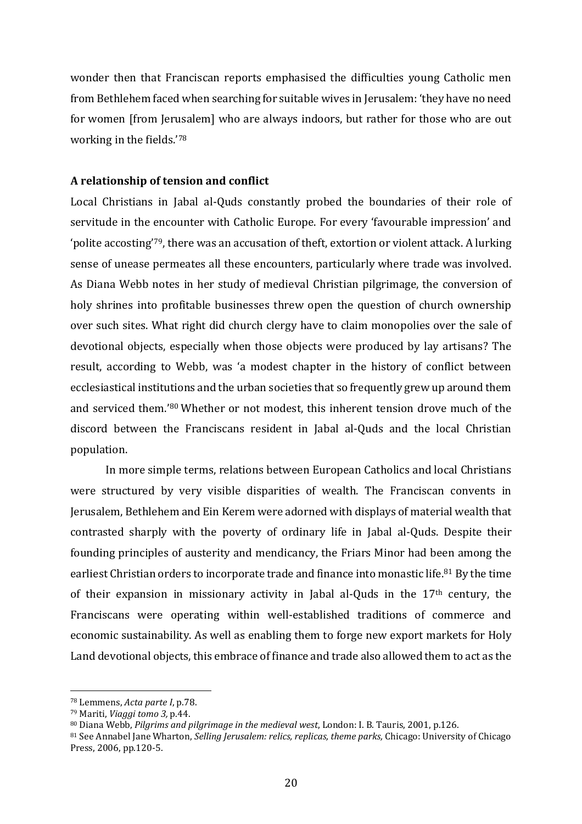wonder then that Franciscan reports emphasised the difficulties young Catholic men from Bethlehem faced when searching for suitable wives in Jerusalem: 'they have no need for women [from Jerusalem] who are always indoors, but rather for those who are out working in the fields.'<sup>78</sup>

## **A relationship of tension and conflict**

Local Christians in Jabal al-Quds constantly probed the boundaries of their role of servitude in the encounter with Catholic Europe. For every 'favourable impression' and 'polite accosting'79, there was an accusation of theft, extortion or violent attack. A lurking sense of unease permeates all these encounters, particularly where trade was involved. As Diana Webb notes in her study of medieval Christian pilgrimage, the conversion of holy shrines into profitable businesses threw open the question of church ownership over such sites. What right did church clergy have to claim monopolies over the sale of devotional objects, especially when those objects were produced by lay artisans? The result, according to Webb, was 'a modest chapter in the history of conflict between ecclesiastical institutions and the urban societies that so frequently grew up around them and serviced them.'<sup>80</sup> Whether or not modest, this inherent tension drove much of the discord between the Franciscans resident in Jabal al-Quds and the local Christian population.

In more simple terms, relations between European Catholics and local Christians were structured by very visible disparities of wealth. The Franciscan convents in Jerusalem, Bethlehem and Ein Kerem were adorned with displays of material wealth that contrasted sharply with the poverty of ordinary life in Jabal al-Quds. Despite their founding principles of austerity and mendicancy, the Friars Minor had been among the earliest Christian orders to incorporate trade and finance into monastic life.<sup>81</sup> By the time of their expansion in missionary activity in Jabal al-Quds in the  $17<sup>th</sup>$  century, the Franciscans were operating within well-established traditions of commerce and economic sustainability. As well as enabling them to forge new export markets for Holy Land devotional objects, this embrace of finance and trade also allowed them to act as the

<sup>78</sup> Lemmens, *Acta parte I*, p.78.

<sup>79</sup> Mariti, *Viaggi tomo 3,* p.44.

<sup>80</sup> Diana Webb, *Pilgrims and pilgrimage in the medieval west*, London: I. B. Tauris, 2001, p.126.

<sup>81</sup> See Annabel Jane Wharton, *Selling Jerusalem: relics, replicas, theme parks,* Chicago: University of Chicago Press, 2006, pp.120-5.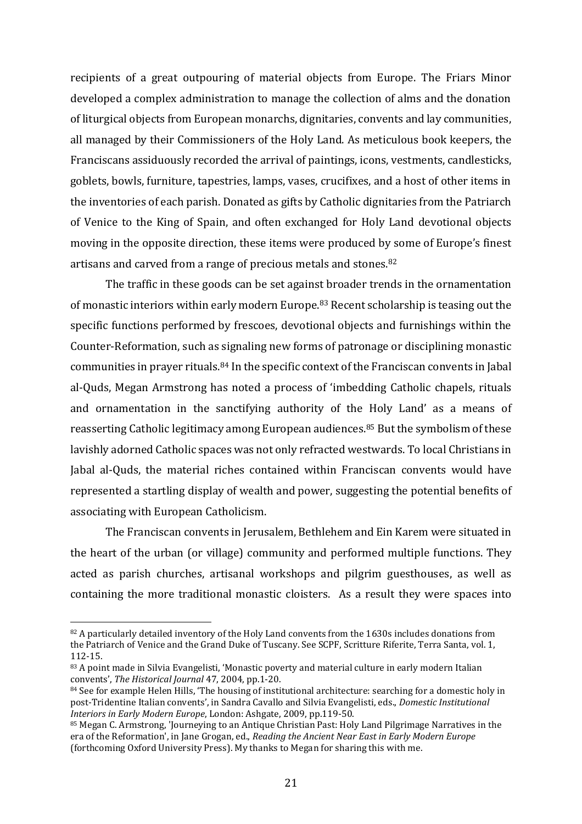recipients of a great outpouring of material objects from Europe. The Friars Minor developed a complex administration to manage the collection of alms and the donation of liturgical objects from European monarchs, dignitaries, convents and lay communities, all managed by their Commissioners of the Holy Land. As meticulous book keepers, the Franciscans assiduously recorded the arrival of paintings, icons, vestments, candlesticks, goblets, bowls, furniture, tapestries, lamps, vases, crucifixes, and a host of other items in the inventories of each parish. Donated as gifts by Catholic dignitaries from the Patriarch of Venice to the King of Spain, and often exchanged for Holy Land devotional objects moving in the opposite direction, these items were produced by some of Europe's finest artisans and carved from a range of precious metals and stones.<sup>82</sup>

The traffic in these goods can be set against broader trends in the ornamentation of monastic interiors within early modern Europe. <sup>83</sup> Recent scholarship is teasing out the specific functions performed by frescoes, devotional objects and furnishings within the Counter-Reformation, such as signaling new forms of patronage or disciplining monastic communities in prayer rituals.<sup>84</sup> In the specific context of the Franciscan convents in Jabal al-Quds, Megan Armstrong has noted a process of 'imbedding Catholic chapels, rituals and ornamentation in the sanctifying authority of the Holy Land' as a means of reasserting Catholic legitimacy among European audiences.<sup>85</sup> But the symbolism of these lavishly adorned Catholic spaces was not only refracted westwards. To local Christians in Jabal al-Quds, the material riches contained within Franciscan convents would have represented a startling display of wealth and power, suggesting the potential benefits of associating with European Catholicism.

The Franciscan convents in Jerusalem, Bethlehem and Ein Karem were situated in the heart of the urban (or village) community and performed multiple functions. They acted as parish churches, artisanal workshops and pilgrim guesthouses, as well as containing the more traditional monastic cloisters. As a result they were spaces into

<sup>82</sup> A particularly detailed inventory of the Holy Land convents from the 1630s includes donations from the Patriarch of Venice and the Grand Duke of Tuscany. See SCPF, Scritture Riferite, Terra Santa, vol. 1, 112-15.

<sup>83</sup> A point made in Silvia Evangelisti, 'Monastic poverty and material culture in early modern Italian convents', *The Historical Journal* 47, 2004, pp.1-20.

<sup>&</sup>lt;sup>84</sup> See for example Helen Hills, 'The housing of institutional architecture: searching for a domestic holy in post-Tridentine Italian convents', in Sandra Cavallo and Silvia Evangelisti, eds., *Domestic Institutional Interiors in Early Modern Europe*, London: Ashgate, 2009, pp.119-50.

<sup>85</sup> Megan C. Armstrong, 'Journeying to an Antique Christian Past: Holy Land Pilgrimage Narratives in the era of the Reformation', in Jane Grogan, ed., *Reading the Ancient Near East in Early Modern Europe* (forthcoming Oxford University Press). My thanks to Megan for sharing this with me.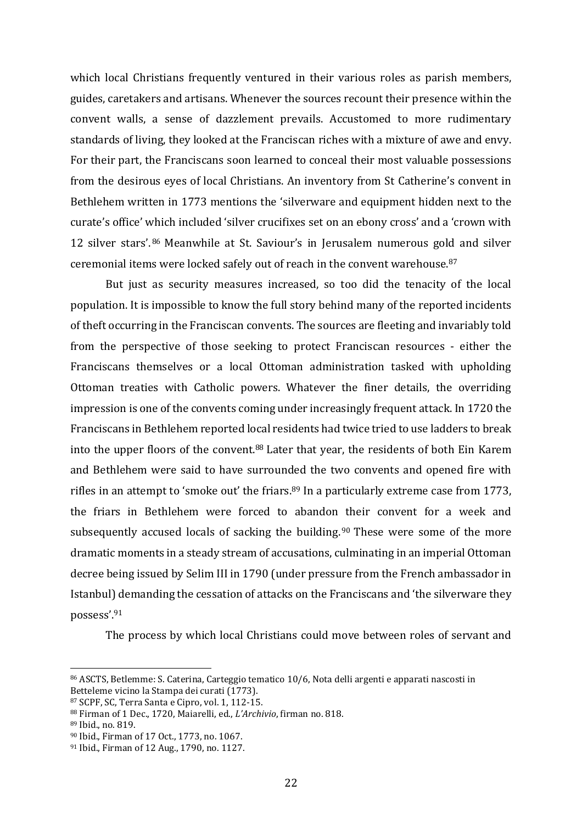which local Christians frequently ventured in their various roles as parish members, guides, caretakers and artisans. Whenever the sources recount their presence within the convent walls, a sense of dazzlement prevails. Accustomed to more rudimentary standards of living, they looked at the Franciscan riches with a mixture of awe and envy. For their part, the Franciscans soon learned to conceal their most valuable possessions from the desirous eyes of local Christians. An inventory from St Catherine's convent in Bethlehem written in 1773 mentions the 'silverware and equipment hidden next to the curate's office' which included 'silver crucifixes set on an ebony cross' and a 'crown with 12 silver stars'. <sup>86</sup> Meanwhile at St. Saviour's in Jerusalem numerous gold and silver ceremonial items were locked safely out of reach in the convent warehouse.<sup>87</sup>

But just as security measures increased, so too did the tenacity of the local population. It is impossible to know the full story behind many of the reported incidents of theft occurring in the Franciscan convents. The sources are fleeting and invariably told from the perspective of those seeking to protect Franciscan resources - either the Franciscans themselves or a local Ottoman administration tasked with upholding Ottoman treaties with Catholic powers. Whatever the finer details, the overriding impression is one of the convents coming under increasingly frequent attack. In 1720 the Franciscans in Bethlehem reported local residents had twice tried to use ladders to break into the upper floors of the convent.<sup>88</sup> Later that year, the residents of both Ein Karem and Bethlehem were said to have surrounded the two convents and opened fire with rifles in an attempt to 'smoke out' the friars.<sup>89</sup> In a particularly extreme case from 1773, the friars in Bethlehem were forced to abandon their convent for a week and subsequently accused locals of sacking the building.<sup>90</sup> These were some of the more dramatic moments in a steady stream of accusations, culminating in an imperial Ottoman decree being issued by Selim III in 1790 (under pressure from the French ambassador in Istanbul) demanding the cessation of attacks on the Franciscans and 'the silverware they possess'.<sup>91</sup>

The process by which local Christians could move between roles of servant and

<sup>86</sup> ASCTS, Betlemme: S. Caterina, Carteggio tematico 10/6, Nota delli argenti e apparati nascosti in Betteleme vicino la Stampa dei curati (1773).

<sup>87</sup> SCPF, SC, Terra Santa e Cipro, vol. 1, 112-15.

<sup>88</sup> Firman of 1 Dec., 1720, Maiarelli, ed., *L'Archivio*, firman no. 818.

<sup>89</sup> Ibid., no. 819.

<sup>90</sup> Ibid., Firman of 17 Oct., 1773, no. 1067.

<sup>91</sup> Ibid., Firman of 12 Aug., 1790, no. 1127.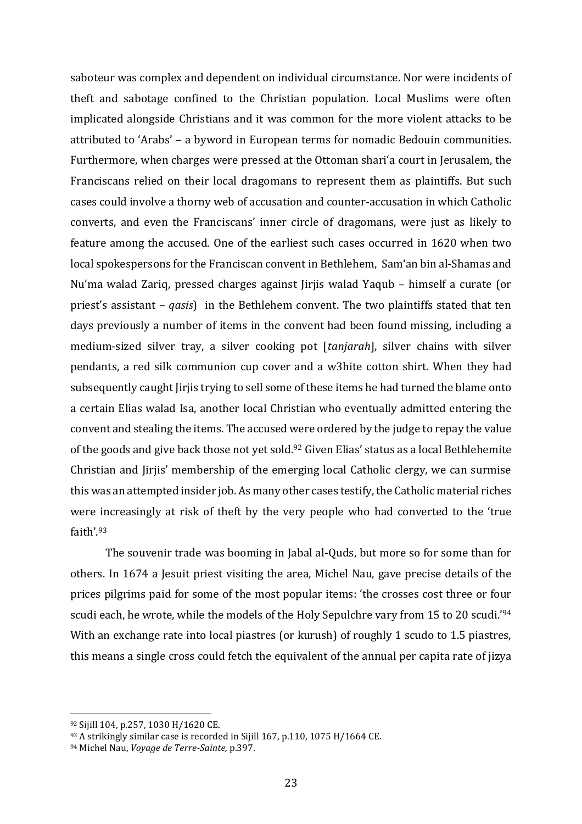saboteur was complex and dependent on individual circumstance. Nor were incidents of theft and sabotage confined to the Christian population. Local Muslims were often implicated alongside Christians and it was common for the more violent attacks to be attributed to 'Arabs' – a byword in European terms for nomadic Bedouin communities. Furthermore, when charges were pressed at the Ottoman shari'a court in Jerusalem, the Franciscans relied on their local dragomans to represent them as plaintiffs. But such cases could involve a thorny web of accusation and counter-accusation in which Catholic converts, and even the Franciscans' inner circle of dragomans, were just as likely to feature among the accused. One of the earliest such cases occurred in 1620 when two local spokespersons for the Franciscan convent in Bethlehem, Sam'an bin al-Shamas and Nu'ma walad Zariq, pressed charges against Jirjis walad Yaqub – himself a curate (or priest's assistant – *qasis*) in the Bethlehem convent. The two plaintiffs stated that ten days previously a number of items in the convent had been found missing, including a medium-sized silver tray, a silver cooking pot [*tanjarah*], silver chains with silver pendants, a red silk communion cup cover and a w3hite cotton shirt. When they had subsequently caught Jirjis trying to sell some of these items he had turned the blame onto a certain Elias walad Isa, another local Christian who eventually admitted entering the convent and stealing the items. The accused were ordered by the judge to repay the value of the goods and give back those not yet sold.<sup>92</sup> Given Elias' status as a local Bethlehemite Christian and Jirjis' membership of the emerging local Catholic clergy, we can surmise this was an attempted insider job. As many other cases testify, the Catholic material riches were increasingly at risk of theft by the very people who had converted to the 'true faith'. 93

The souvenir trade was booming in Jabal al-Quds, but more so for some than for others. In 1674 a Jesuit priest visiting the area, Michel Nau, gave precise details of the prices pilgrims paid for some of the most popular items: 'the crosses cost three or four scudi each, he wrote, while the models of the Holy Sepulchre vary from 15 to 20 scudi.'94 With an exchange rate into local piastres (or kurush) of roughly 1 scudo to 1.5 piastres, this means a single cross could fetch the equivalent of the annual per capita rate of jizya

<sup>92</sup> Sijill 104, p.257, 1030 H/1620 CE.

<sup>93</sup> A strikingly similar case is recorded in Sijill 167, p.110, 1075 H/1664 CE.

<sup>94</sup> Michel Nau, *Voyage de Terre-Sainte,* p.397.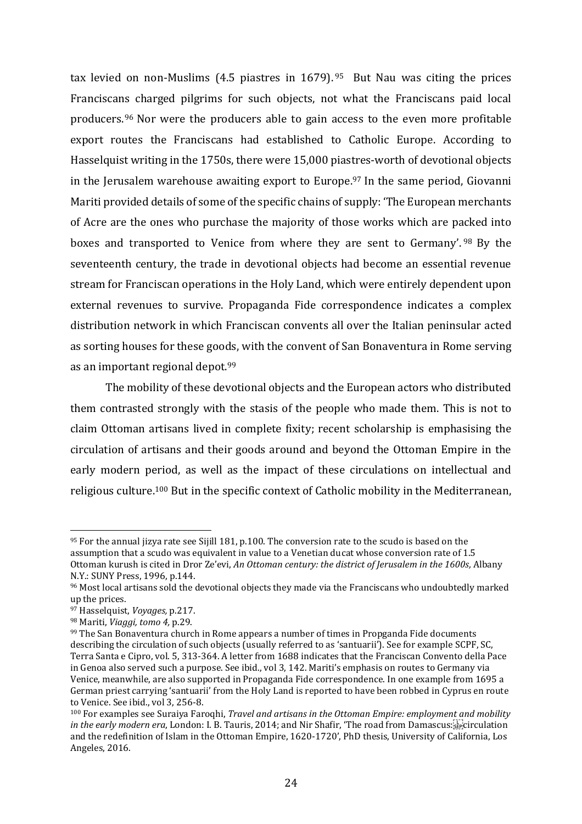tax levied on non-Muslims (4.5 piastres in 1679). <sup>95</sup> But Nau was citing the prices Franciscans charged pilgrims for such objects, not what the Franciscans paid local producers.<sup>96</sup> Nor were the producers able to gain access to the even more profitable export routes the Franciscans had established to Catholic Europe. According to Hasselquist writing in the 1750s, there were 15,000 piastres-worth of devotional objects in the Jerusalem warehouse awaiting export to Europe. <sup>97</sup> In the same period, Giovanni Mariti provided details of some of the specific chains of supply: 'The European merchants of Acre are the ones who purchase the majority of those works which are packed into boxes and transported to Venice from where they are sent to Germany'. <sup>98</sup> By the seventeenth century, the trade in devotional objects had become an essential revenue stream for Franciscan operations in the Holy Land, which were entirely dependent upon external revenues to survive. Propaganda Fide correspondence indicates a complex distribution network in which Franciscan convents all over the Italian peninsular acted as sorting houses for these goods, with the convent of San Bonaventura in Rome serving as an important regional depot.<sup>99</sup>

The mobility of these devotional objects and the European actors who distributed them contrasted strongly with the stasis of the people who made them. This is not to claim Ottoman artisans lived in complete fixity; recent scholarship is emphasising the circulation of artisans and their goods around and beyond the Ottoman Empire in the early modern period, as well as the impact of these circulations on intellectual and religious culture.<sup>100</sup> But in the specific context of Catholic mobility in the Mediterranean,

<sup>95</sup> For the annual jizya rate see Sijill 181, p.100. The conversion rate to the scudo is based on the assumption that a scudo was equivalent in value to a Venetian ducat whose conversion rate of 1.5 Ottoman kurush is cited in Dror Ze'evi, *An Ottoman century: the district of Jerusalem in the 1600s,* Albany N.Y.: SUNY Press, 1996, p.144.

<sup>96</sup> Most local artisans sold the devotional objects they made via the Franciscans who undoubtedly marked up the prices.

<sup>97</sup> Hasselquist, *Voyages,* p.217.

<sup>98</sup> Mariti, *Viaggi, tomo 4,* p.29.

<sup>99</sup> The San Bonaventura church in Rome appears a number of times in Propganda Fide documents describing the circulation of such objects (usually referred to as 'santuarii'). See for example SCPF, SC, Terra Santa e Cipro, vol. 5, 313-364. A letter from 1688 indicates that the Franciscan Convento della Pace in Genoa also served such a purpose. See ibid., vol 3, 142. Mariti's emphasis on routes to Germany via Venice, meanwhile, are also supported in Propaganda Fide correspondence. In one example from 1695 a German priest carrying 'santuarii' from the Holy Land is reported to have been robbed in Cyprus en route to Venice. See ibid., vol 3, 256-8.

<sup>100</sup> For examples see Suraiya Faroqhi, *Travel and artisans in the Ottoman Empire: employment and mobility*  in the early modern era, London: I. B. Tauris, 2014; and Nir Shafir, 'The road from Damascus: <sub>sep</sub>circulation and the redefinition of Islam in the Ottoman Empire, 1620-1720', PhD thesis, University of California, Los Angeles, 2016.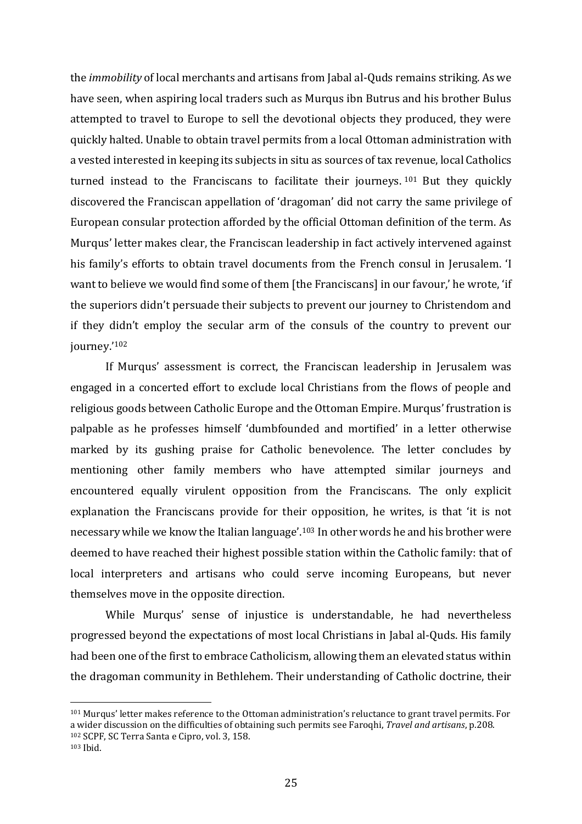the *immobility* of local merchants and artisans from Jabal al-Quds remains striking. As we have seen, when aspiring local traders such as Murqus ibn Butrus and his brother Bulus attempted to travel to Europe to sell the devotional objects they produced, they were quickly halted. Unable to obtain travel permits from a local Ottoman administration with a vested interested in keeping its subjects in situ as sources of tax revenue, local Catholics turned instead to the Franciscans to facilitate their journeys. <sup>101</sup> But they quickly discovered the Franciscan appellation of 'dragoman' did not carry the same privilege of European consular protection afforded by the official Ottoman definition of the term. As Murqus' letter makes clear, the Franciscan leadership in fact actively intervened against his family's efforts to obtain travel documents from the French consul in Jerusalem. 'I want to believe we would find some of them [the Franciscans] in our favour,' he wrote, 'if the superiors didn't persuade their subjects to prevent our journey to Christendom and if they didn't employ the secular arm of the consuls of the country to prevent our journey.' 102

If Murqus' assessment is correct, the Franciscan leadership in Jerusalem was engaged in a concerted effort to exclude local Christians from the flows of people and religious goods between Catholic Europe and the Ottoman Empire. Murqus' frustration is palpable as he professes himself 'dumbfounded and mortified' in a letter otherwise marked by its gushing praise for Catholic benevolence. The letter concludes by mentioning other family members who have attempted similar journeys and encountered equally virulent opposition from the Franciscans. The only explicit explanation the Franciscans provide for their opposition, he writes, is that 'it is not necessary while we know the Italian language'. <sup>103</sup> In other words he and his brother were deemed to have reached their highest possible station within the Catholic family: that of local interpreters and artisans who could serve incoming Europeans, but never themselves move in the opposite direction.

While Murqus' sense of injustice is understandable, he had nevertheless progressed beyond the expectations of most local Christians in Jabal al-Quds. His family had been one of the first to embrace Catholicism, allowing them an elevated status within the dragoman community in Bethlehem. Their understanding of Catholic doctrine, their

<sup>101</sup> Murqus' letter makes reference to the Ottoman administration's reluctance to grant travel permits. For a wider discussion on the difficulties of obtaining such permits see Faroqhi, *Travel and artisans*, p.208. <sup>102</sup> SCPF, SC Terra Santa e Cipro, vol. 3, 158.

<sup>103</sup> Ibid.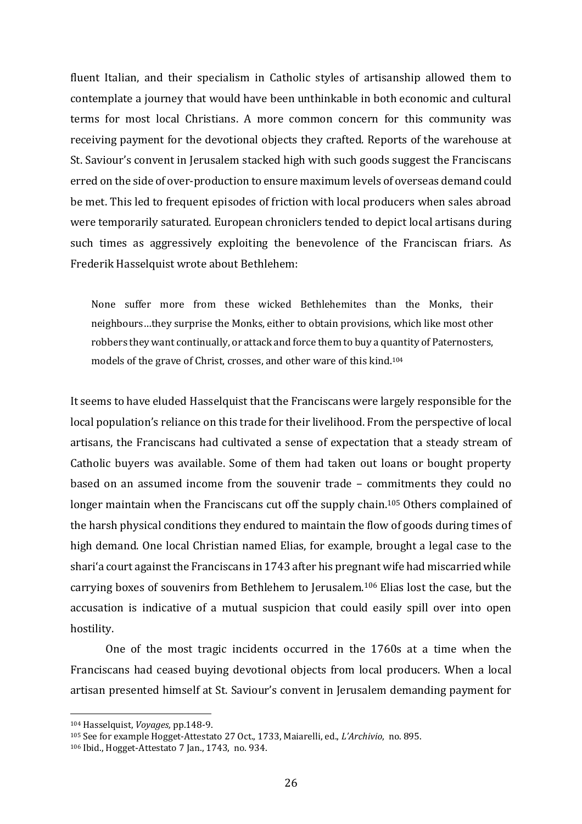fluent Italian, and their specialism in Catholic styles of artisanship allowed them to contemplate a journey that would have been unthinkable in both economic and cultural terms for most local Christians. A more common concern for this community was receiving payment for the devotional objects they crafted. Reports of the warehouse at St. Saviour's convent in Jerusalem stacked high with such goods suggest the Franciscans erred on the side of over-production to ensure maximum levels of overseas demand could be met. This led to frequent episodes of friction with local producers when sales abroad were temporarily saturated. European chroniclers tended to depict local artisans during such times as aggressively exploiting the benevolence of the Franciscan friars. As Frederik Hasselquist wrote about Bethlehem:

None suffer more from these wicked Bethlehemites than the Monks, their neighbours…they surprise the Monks, either to obtain provisions, which like most other robbers they want continually, or attack and force them to buy a quantity of Paternosters, models of the grave of Christ, crosses, and other ware of this kind.<sup>104</sup>

It seems to have eluded Hasselquist that the Franciscans were largely responsible for the local population's reliance on this trade for their livelihood. From the perspective of local artisans, the Franciscans had cultivated a sense of expectation that a steady stream of Catholic buyers was available. Some of them had taken out loans or bought property based on an assumed income from the souvenir trade – commitments they could no longer maintain when the Franciscans cut off the supply chain.<sup>105</sup> Others complained of the harsh physical conditions they endured to maintain the flow of goods during times of high demand. One local Christian named Elias, for example, brought a legal case to the shari'a court against the Franciscans in 1743 after his pregnant wife had miscarried while carrying boxes of souvenirs from Bethlehem to Jerusalem.<sup>106</sup> Elias lost the case, but the accusation is indicative of a mutual suspicion that could easily spill over into open hostility.

One of the most tragic incidents occurred in the 1760s at a time when the Franciscans had ceased buying devotional objects from local producers. When a local artisan presented himself at St. Saviour's convent in Jerusalem demanding payment for

<sup>104</sup> Hasselquist, *Voyages,* pp.148-9.

<sup>105</sup> See for example Hogget-Attestato 27 Oct., 1733, Maiarelli, ed., *L'Archivio*, no. 895.

<sup>106</sup> Ibid., Hogget-Attestato 7 Jan., 1743, no. 934.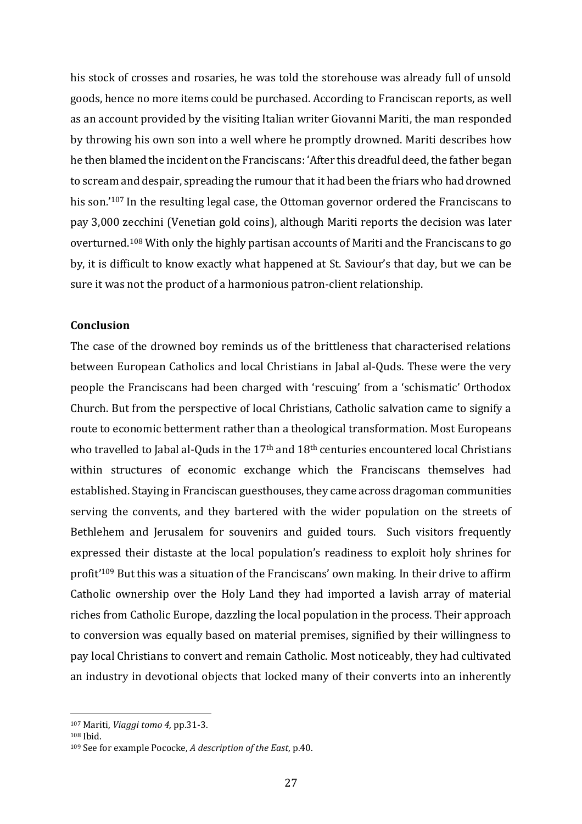his stock of crosses and rosaries, he was told the storehouse was already full of unsold goods, hence no more items could be purchased. According to Franciscan reports, as well as an account provided by the visiting Italian writer Giovanni Mariti, the man responded by throwing his own son into a well where he promptly drowned. Mariti describes how he then blamed the incident on the Franciscans: 'After this dreadful deed, the father began to scream and despair, spreading the rumour that it had been the friars who had drowned his son.' <sup>107</sup> In the resulting legal case, the Ottoman governor ordered the Franciscans to pay 3,000 zecchini (Venetian gold coins), although Mariti reports the decision was later overturned.<sup>108</sup> With only the highly partisan accounts of Mariti and the Franciscans to go by, it is difficult to know exactly what happened at St. Saviour's that day, but we can be sure it was not the product of a harmonious patron-client relationship.

### **Conclusion**

The case of the drowned boy reminds us of the brittleness that characterised relations between European Catholics and local Christians in Jabal al-Quds. These were the very people the Franciscans had been charged with 'rescuing' from a 'schismatic' Orthodox Church. But from the perspective of local Christians, Catholic salvation came to signify a route to economic betterment rather than a theological transformation. Most Europeans who travelled to Jabal al-Quds in the 17<sup>th</sup> and 18<sup>th</sup> centuries encountered local Christians within structures of economic exchange which the Franciscans themselves had established. Staying in Franciscan guesthouses, they came across dragoman communities serving the convents, and they bartered with the wider population on the streets of Bethlehem and Jerusalem for souvenirs and guided tours. Such visitors frequently expressed their distaste at the local population's readiness to exploit holy shrines for profit' <sup>109</sup> But this was a situation of the Franciscans' own making. In their drive to affirm Catholic ownership over the Holy Land they had imported a lavish array of material riches from Catholic Europe, dazzling the local population in the process. Their approach to conversion was equally based on material premises, signified by their willingness to pay local Christians to convert and remain Catholic. Most noticeably, they had cultivated an industry in devotional objects that locked many of their converts into an inherently

 $\overline{a}$ <sup>107</sup> Mariti, *Viaggi tomo 4,* pp.31-3.

<sup>108</sup> Ibid.

<sup>109</sup> See for example Pococke, *A description of the East*, p.40.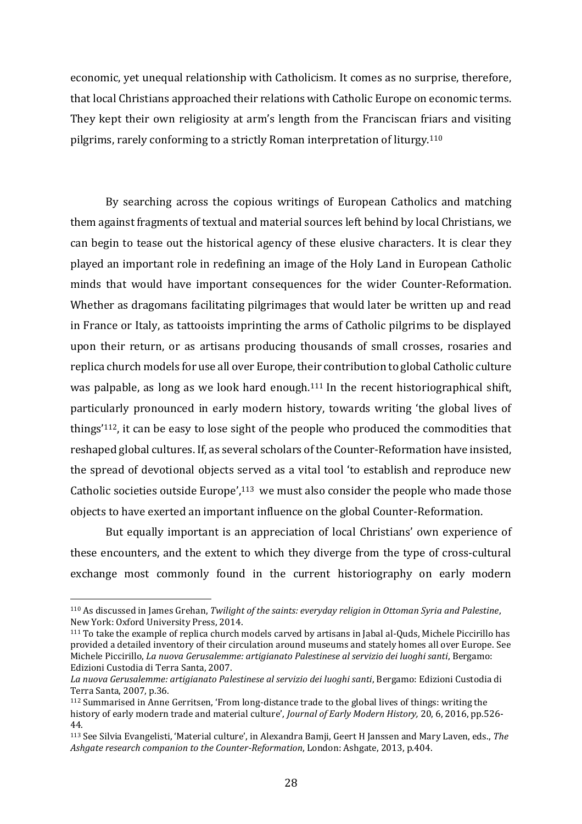economic, yet unequal relationship with Catholicism. It comes as no surprise, therefore, that local Christians approached their relations with Catholic Europe on economic terms. They kept their own religiosity at arm's length from the Franciscan friars and visiting pilgrims, rarely conforming to a strictly Roman interpretation of liturgy.<sup>110</sup>

By searching across the copious writings of European Catholics and matching them against fragments of textual and material sources left behind by local Christians, we can begin to tease out the historical agency of these elusive characters. It is clear they played an important role in redefining an image of the Holy Land in European Catholic minds that would have important consequences for the wider Counter-Reformation. Whether as dragomans facilitating pilgrimages that would later be written up and read in France or Italy, as tattooists imprinting the arms of Catholic pilgrims to be displayed upon their return, or as artisans producing thousands of small crosses, rosaries and replica church models for use all over Europe, their contribution to global Catholic culture was palpable, as long as we look hard enough.<sup>111</sup> In the recent historiographical shift, particularly pronounced in early modern history, towards writing 'the global lives of things'112, it can be easy to lose sight of the people who produced the commodities that reshaped global cultures. If, as several scholars of the Counter-Reformation have insisted, the spread of devotional objects served as a vital tool 'to establish and reproduce new Catholic societies outside Europe', $113$  we must also consider the people who made those objects to have exerted an important influence on the global Counter-Reformation.

But equally important is an appreciation of local Christians' own experience of these encounters, and the extent to which they diverge from the type of cross-cultural exchange most commonly found in the current historiography on early modern

<sup>110</sup> As discussed in James Grehan, *Twilight of the saints: everyday religion in Ottoman Syria and Palestine*, New York: Oxford University Press, 2014.

<sup>111</sup> To take the example of replica church models carved by artisans in Jabal al-Quds, Michele Piccirillo has provided a detailed inventory of their circulation around museums and stately homes all over Europe. See Michele Piccirillo, *La nuova Gerusalemme: artigianato Palestinese al servizio dei luoghi santi*, Bergamo: Edizioni Custodia di Terra Santa, 2007.

*La nuova Gerusalemme: artigianato Palestinese al servizio dei luoghi santi*, Bergamo: Edizioni Custodia di Terra Santa, 2007, p.36.

<sup>112</sup> Summarised in Anne Gerritsen, 'From long-distance trade to the global lives of things: writing the history of early modern trade and material culture', *Journal of Early Modern History,* 20, 6, 2016, pp.526- 44.

<sup>113</sup> See Silvia Evangelisti, 'Material culture', in Alexandra Bamji, Geert H Janssen and Mary Laven, eds., *The Ashgate research companion to the Counter-Reformation*, London: Ashgate, 2013, p.404.